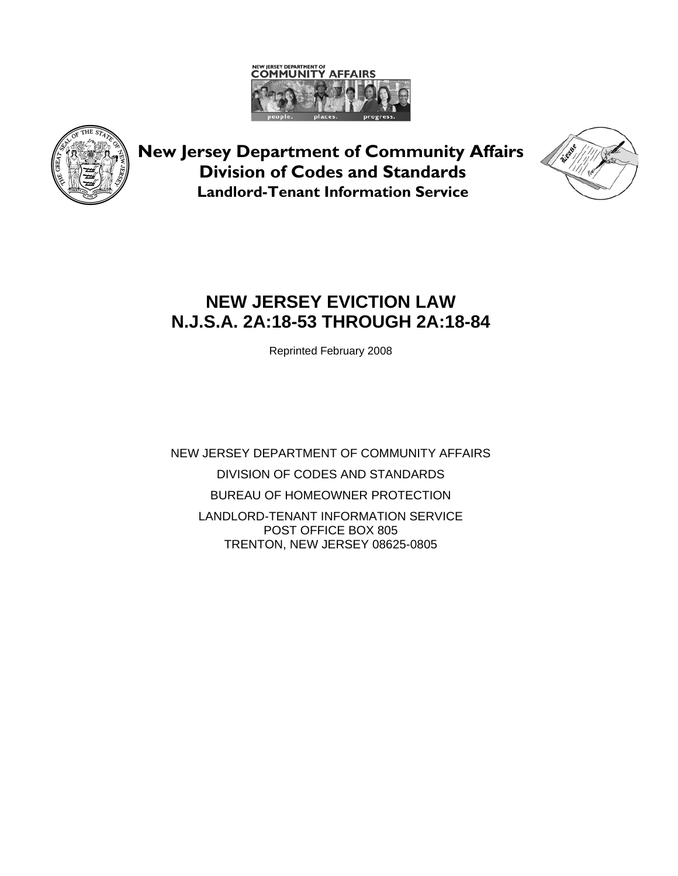



**New Jersey Department of Community Affairs Division of Codes and Standards Landlord-Tenant Information Service**



# **NEW JERSEY EVICTION LAW N.J.S.A. 2A:18-53 THROUGH 2A:18-84**

Reprinted February 2008

NEW JERSEY DEPARTMENT OF COMMUNITY AFFAIRS DIVISION OF CODES AND STANDARDS BUREAU OF HOMEOWNER PROTECTION LANDLORD-TENANT INFORMATION SERVICE POST OFFICE BOX 805 TRENTON, NEW JERSEY 08625-0805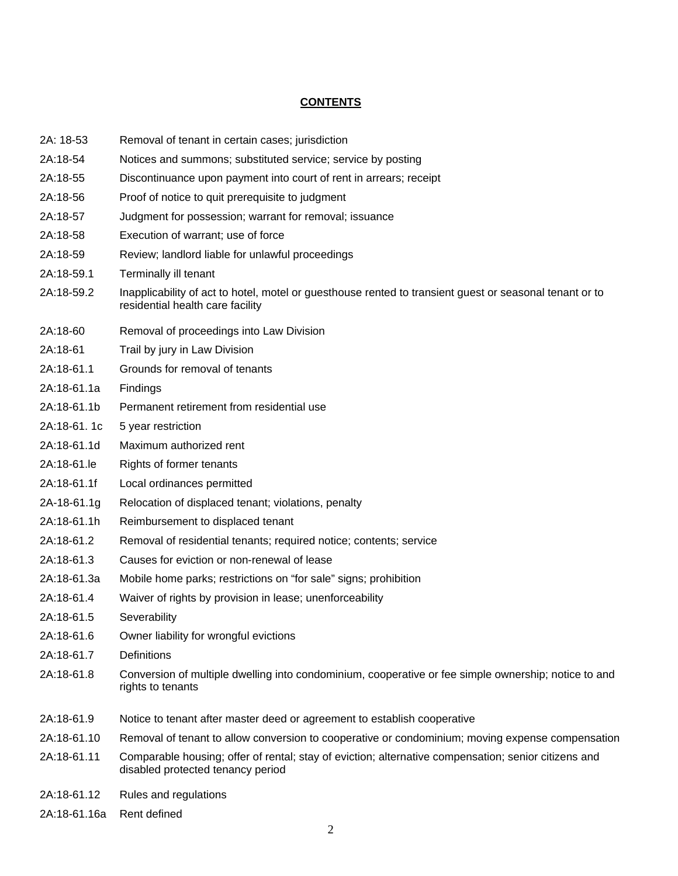# **CONTENTS**

- 2A: 18-53 Removal of tenant in certain cases; jurisdiction
- 2A:18-54 Notices and summons; substituted service; service by posting
- 2A:18-55 Discontinuance upon payment into court of rent in arrears; receipt
- 2A:18-56 Proof of notice to quit prerequisite to judgment
- 2A:18-57 Judgment for possession; warrant for removal; issuance
- 2A:18-58 Execution of warrant; use of force
- 2A:18-59 Review; landlord liable for unlawful proceedings
- 2A:18-59.1 Terminally ill tenant
- 2A:18-59.2 Inapplicability of act to hotel, motel or guesthouse rented to transient guest or seasonal tenant or to residential health care facility
- 2A:18-60 Removal of proceedings into Law Division
- 2A:18-61 Trail by jury in Law Division
- 2A:18-61.1 Grounds for removal of tenants
- 2A:18-61.1a Findings
- 2A:18-61.1b Permanent retirement from residential use
- 2A:18-61. 1c 5 year restriction
- 2A:18-61.1d Maximum authorized rent
- 2A:18-61.le Rights of former tenants
- 2A:18-61.1f Local ordinances permitted
- 2A-18-61.1g Relocation of displaced tenant; violations, penalty
- 2A:18-61.1h Reimbursement to displaced tenant
- 2A:18-61.2 Removal of residential tenants; required notice; contents; service
- 2A:18-61.3 Causes for eviction or non-renewal of lease
- 2A:18-61.3a Mobile home parks; restrictions on "for sale" signs; prohibition
- 2A:18-61.4 Waiver of rights by provision in lease; unenforceability
- 2A:18-61.5 Severability
- 2A:18-61.6 Owner liability for wrongful evictions
- 2A:18-61.7 Definitions
- 2A:18-61.8 Conversion of multiple dwelling into condominium, cooperative or fee simple ownership; notice to and rights to tenants
- 2A:18-61.9 Notice to tenant after master deed or agreement to establish cooperative
- 2A:18-61.10 Removal of tenant to allow conversion to cooperative or condominium; moving expense compensation
- 2A:18-61.11 Comparable housing; offer of rental; stay of eviction; alternative compensation; senior citizens and disabled protected tenancy period
- 2A:18-61.12 Rules and regulations
- 2A:18-61.16a Rent defined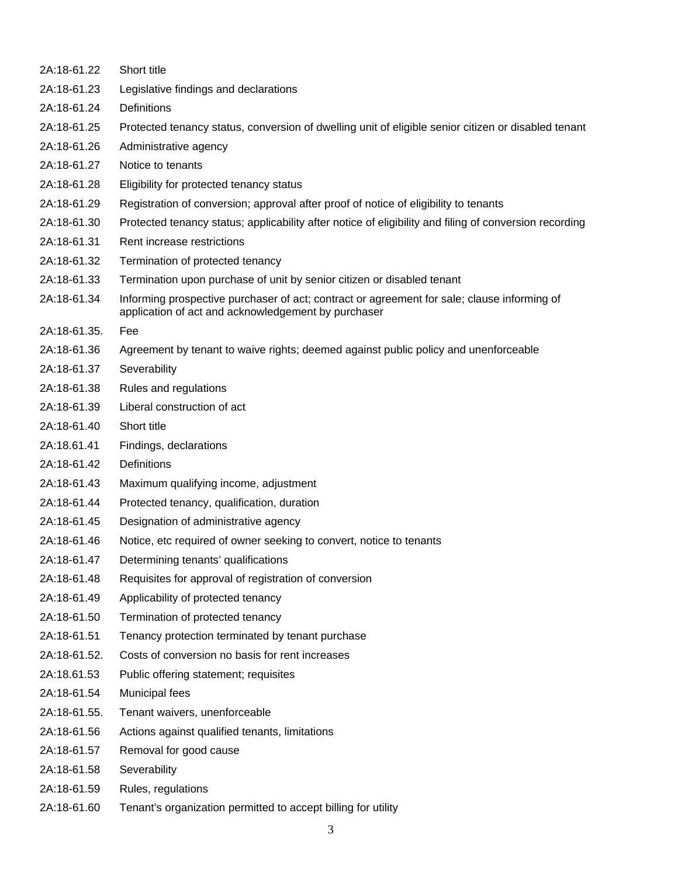| 2A:18-61.22  | Short title                                                                                                                                        |
|--------------|----------------------------------------------------------------------------------------------------------------------------------------------------|
| 2A:18-61.23  | Legislative findings and declarations                                                                                                              |
| 2A:18-61.24  | Definitions                                                                                                                                        |
| 2A:18-61.25  | Protected tenancy status, conversion of dwelling unit of eligible senior citizen or disabled tenant                                                |
| 2A:18-61.26  | Administrative agency                                                                                                                              |
| 2A:18-61.27  | Notice to tenants                                                                                                                                  |
| 2A:18-61.28  | Eligibility for protected tenancy status                                                                                                           |
| 2A:18-61.29  | Registration of conversion; approval after proof of notice of eligibility to tenants                                                               |
| 2A:18-61.30  | Protected tenancy status; applicability after notice of eligibility and filing of conversion recording                                             |
| 2A:18-61.31  | Rent increase restrictions                                                                                                                         |
| 2A:18-61.32  | Termination of protected tenancy                                                                                                                   |
| 2A:18-61.33  | Termination upon purchase of unit by senior citizen or disabled tenant                                                                             |
| 2A:18-61.34  | Informing prospective purchaser of act; contract or agreement for sale; clause informing of<br>application of act and acknowledgement by purchaser |
| 2A:18-61.35. | Fee                                                                                                                                                |
| 2A:18-61.36  | Agreement by tenant to waive rights; deemed against public policy and unenforceable                                                                |
| 2A:18-61.37  | Severability                                                                                                                                       |
| 2A:18-61.38  | Rules and regulations                                                                                                                              |
| 2A:18-61.39  | Liberal construction of act                                                                                                                        |
| 2A:18-61.40  | Short title                                                                                                                                        |
| 2A:18.61.41  | Findings, declarations                                                                                                                             |
| 2A:18-61.42  | Definitions                                                                                                                                        |
| 2A:18-61.43  | Maximum qualifying income, adjustment                                                                                                              |
| 2A:18-61.44  | Protected tenancy, qualification, duration                                                                                                         |
| 2A:18-61.45  | Designation of administrative agency                                                                                                               |
| 2A:18-61.46  | Notice, etc required of owner seeking to convert, notice to tenants                                                                                |
| 2A:18-61.47  | Determining tenants' qualifications                                                                                                                |
| 2A:18-61.48  | Requisites for approval of registration of conversion                                                                                              |
| 2A:18-61.49  | Applicability of protected tenancy                                                                                                                 |
| 2A:18-61.50  | Termination of protected tenancy                                                                                                                   |
| 2A:18-61.51  | Tenancy protection terminated by tenant purchase                                                                                                   |
| 2A:18-61.52. | Costs of conversion no basis for rent increases                                                                                                    |
| 2A:18.61.53  | Public offering statement; requisites                                                                                                              |
| 2A:18-61.54  | Municipal fees                                                                                                                                     |
| 2A:18-61.55. | Tenant waivers, unenforceable                                                                                                                      |
| 2A:18-61.56  | Actions against qualified tenants, limitations                                                                                                     |
| 2A:18-61.57  | Removal for good cause                                                                                                                             |
| 2A:18-61.58  | Severability                                                                                                                                       |
| 2A:18-61.59  | Rules, regulations                                                                                                                                 |
| 2A:18-61.60  | Tenant's organization permitted to accept billing for utility                                                                                      |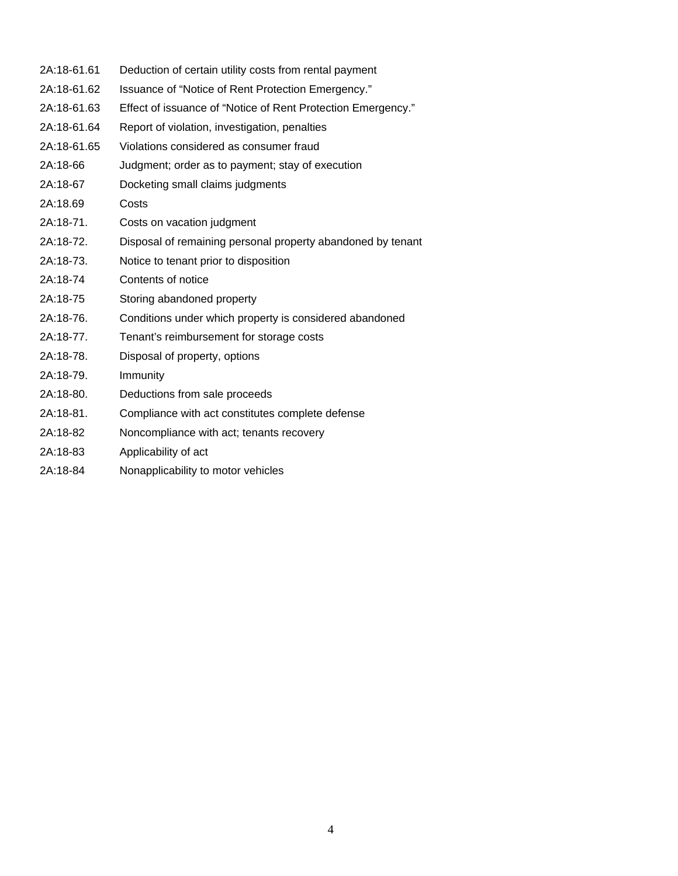| 2A:18-61.61 | Deduction of certain utility costs from rental payment       |
|-------------|--------------------------------------------------------------|
| 2A:18-61.62 | Issuance of "Notice of Rent Protection Emergency."           |
| 2A:18-61.63 | Effect of issuance of "Notice of Rent Protection Emergency." |
| 2A:18-61.64 | Report of violation, investigation, penalties                |
| 2A:18-61.65 | Violations considered as consumer fraud                      |
| 2A:18-66    | Judgment; order as to payment; stay of execution             |
| 2A:18-67    | Docketing small claims judgments                             |
| 2A:18.69    | Costs                                                        |
| 2A:18-71.   | Costs on vacation judgment                                   |
| 2A:18-72.   | Disposal of remaining personal property abandoned by tenant  |
| 2A:18-73.   | Notice to tenant prior to disposition                        |
| 2A:18-74    | Contents of notice                                           |
| 2A:18-75    | Storing abandoned property                                   |
| 2A:18-76.   | Conditions under which property is considered abandoned      |
| 2A:18-77.   | Tenant's reimbursement for storage costs                     |
| 2A:18-78.   | Disposal of property, options                                |
| 2A:18-79.   | Immunity                                                     |
| 2A:18-80.   | Deductions from sale proceeds                                |
| 2A:18-81.   | Compliance with act constitutes complete defense             |
| 2A:18-82    | Noncompliance with act; tenants recovery                     |
| 2A:18-83    | Applicability of act                                         |

2A:18-84 Nonapplicability to motor vehicles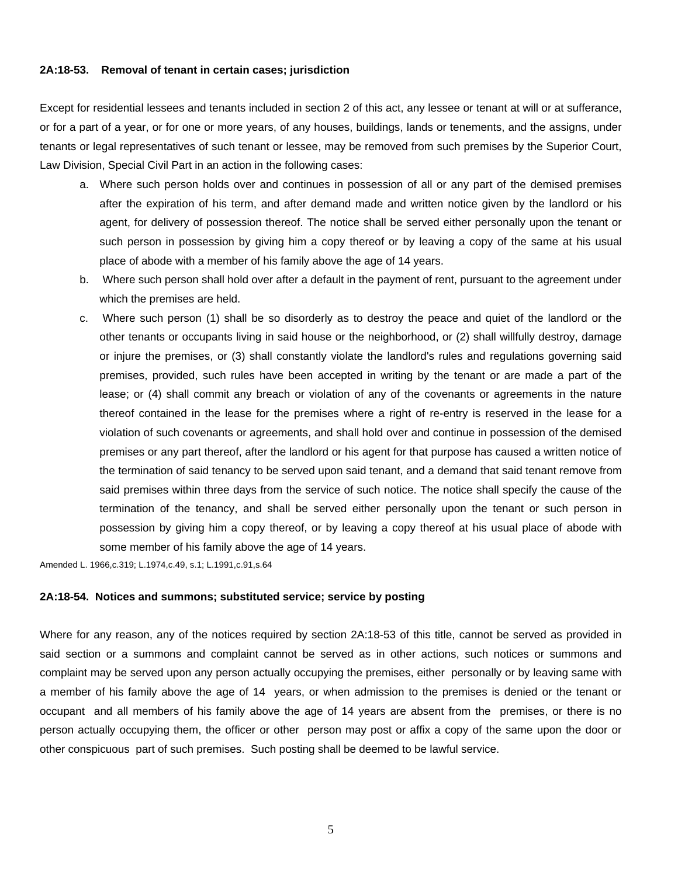#### **2A:18-53. Removal of tenant in certain cases; jurisdiction**

Except for residential lessees and tenants included in section 2 of this act, any lessee or tenant at will or at sufferance, or for a part of a year, or for one or more years, of any houses, buildings, lands or tenements, and the assigns, under tenants or legal representatives of such tenant or lessee, may be removed from such premises by the Superior Court, Law Division, Special Civil Part in an action in the following cases:

- a. Where such person holds over and continues in possession of all or any part of the demised premises after the expiration of his term, and after demand made and written notice given by the landlord or his agent, for delivery of possession thereof. The notice shall be served either personally upon the tenant or such person in possession by giving him a copy thereof or by leaving a copy of the same at his usual place of abode with a member of his family above the age of 14 years.
- b. Where such person shall hold over after a default in the payment of rent, pursuant to the agreement under which the premises are held.
- c. Where such person (1) shall be so disorderly as to destroy the peace and quiet of the landlord or the other tenants or occupants living in said house or the neighborhood, or (2) shall willfully destroy, damage or injure the premises, or (3) shall constantly violate the landlord's rules and regulations governing said premises, provided, such rules have been accepted in writing by the tenant or are made a part of the lease; or (4) shall commit any breach or violation of any of the covenants or agreements in the nature thereof contained in the lease for the premises where a right of re-entry is reserved in the lease for a violation of such covenants or agreements, and shall hold over and continue in possession of the demised premises or any part thereof, after the landlord or his agent for that purpose has caused a written notice of the termination of said tenancy to be served upon said tenant, and a demand that said tenant remove from said premises within three days from the service of such notice. The notice shall specify the cause of the termination of the tenancy, and shall be served either personally upon the tenant or such person in possession by giving him a copy thereof, or by leaving a copy thereof at his usual place of abode with some member of his family above the age of 14 years.

Amended L. 1966,c.319; L.1974,c.49, s.1; L.1991,c.91,s.64

#### **2A:18-54. Notices and summons; substituted service; service by posting**

Where for any reason, any of the notices required by section 2A:18-53 of this title, cannot be served as provided in said section or a summons and complaint cannot be served as in other actions, such notices or summons and complaint may be served upon any person actually occupying the premises, either personally or by leaving same with a member of his family above the age of 14 years, or when admission to the premises is denied or the tenant or occupant and all members of his family above the age of 14 years are absent from the premises, or there is no person actually occupying them, the officer or other person may post or affix a copy of the same upon the door or other conspicuous part of such premises. Such posting shall be deemed to be lawful service.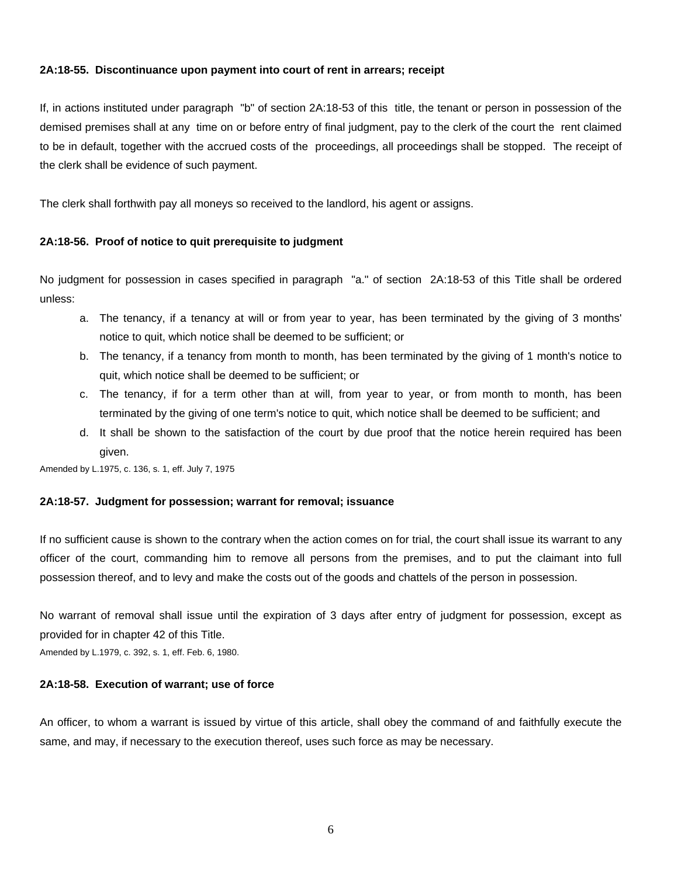### **2A:18-55. Discontinuance upon payment into court of rent in arrears; receipt**

If, in actions instituted under paragraph "b" of section 2A:18-53 of this title, the tenant or person in possession of the demised premises shall at any time on or before entry of final judgment, pay to the clerk of the court the rent claimed to be in default, together with the accrued costs of the proceedings, all proceedings shall be stopped. The receipt of the clerk shall be evidence of such payment.

The clerk shall forthwith pay all moneys so received to the landlord, his agent or assigns.

#### **2A:18-56. Proof of notice to quit prerequisite to judgment**

No judgment for possession in cases specified in paragraph "a." of section 2A:18-53 of this Title shall be ordered unless:

- a. The tenancy, if a tenancy at will or from year to year, has been terminated by the giving of 3 months' notice to quit, which notice shall be deemed to be sufficient; or
- b. The tenancy, if a tenancy from month to month, has been terminated by the giving of 1 month's notice to quit, which notice shall be deemed to be sufficient; or
- c. The tenancy, if for a term other than at will, from year to year, or from month to month, has been terminated by the giving of one term's notice to quit, which notice shall be deemed to be sufficient; and
- d. It shall be shown to the satisfaction of the court by due proof that the notice herein required has been given.

Amended by L.1975, c. 136, s. 1, eff. July 7, 1975

#### **2A:18-57. Judgment for possession; warrant for removal; issuance**

If no sufficient cause is shown to the contrary when the action comes on for trial, the court shall issue its warrant to any officer of the court, commanding him to remove all persons from the premises, and to put the claimant into full possession thereof, and to levy and make the costs out of the goods and chattels of the person in possession.

No warrant of removal shall issue until the expiration of 3 days after entry of judgment for possession, except as provided for in chapter 42 of this Title.

Amended by L.1979, c. 392, s. 1, eff. Feb. 6, 1980.

# **2A:18-58. Execution of warrant; use of force**

An officer, to whom a warrant is issued by virtue of this article, shall obey the command of and faithfully execute the same, and may, if necessary to the execution thereof, uses such force as may be necessary.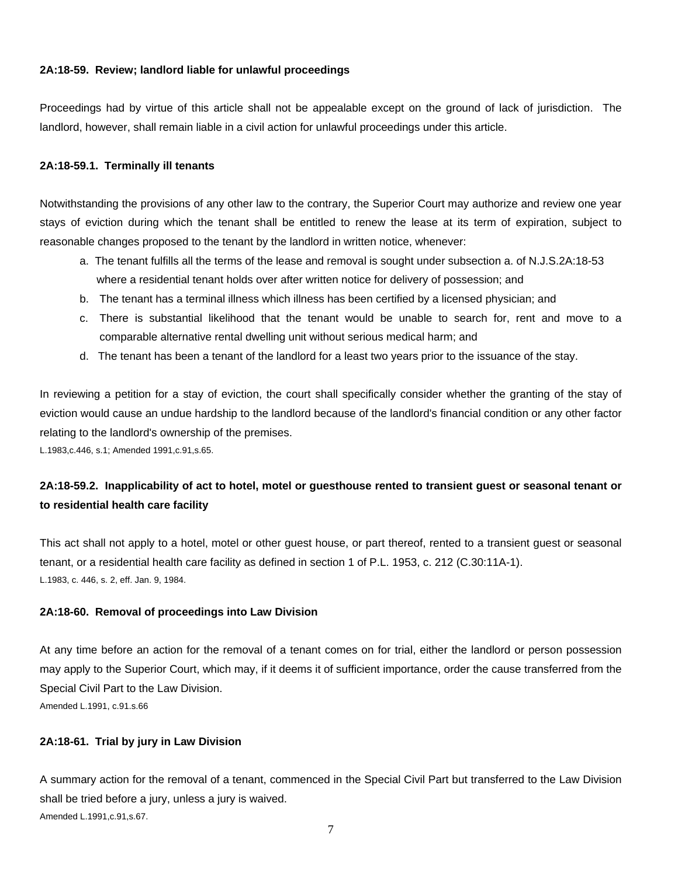# **2A:18-59. Review; landlord liable for unlawful proceedings**

Proceedings had by virtue of this article shall not be appealable except on the ground of lack of jurisdiction. The landlord, however, shall remain liable in a civil action for unlawful proceedings under this article.

# **2A:18-59.1. Terminally ill tenants**

Notwithstanding the provisions of any other law to the contrary, the Superior Court may authorize and review one year stays of eviction during which the tenant shall be entitled to renew the lease at its term of expiration, subject to reasonable changes proposed to the tenant by the landlord in written notice, whenever:

- a. The tenant fulfills all the terms of the lease and removal is sought under subsection a. of N.J.S.2A:18-53 where a residential tenant holds over after written notice for delivery of possession; and
- b. The tenant has a terminal illness which illness has been certified by a licensed physician; and
- c. There is substantial likelihood that the tenant would be unable to search for, rent and move to a comparable alternative rental dwelling unit without serious medical harm; and
- d. The tenant has been a tenant of the landlord for a least two years prior to the issuance of the stay.

In reviewing a petition for a stay of eviction, the court shall specifically consider whether the granting of the stay of eviction would cause an undue hardship to the landlord because of the landlord's financial condition or any other factor relating to the landlord's ownership of the premises.

L.1983,c.446, s.1; Amended 1991,c.91,s.65.

# **2A:18-59.2. Inapplicability of act to hotel, motel or guesthouse rented to transient guest or seasonal tenant or to residential health care facility**

This act shall not apply to a hotel, motel or other guest house, or part thereof, rented to a transient guest or seasonal tenant, or a residential health care facility as defined in section 1 of P.L. 1953, c. 212 (C.30:11A-1). L.1983, c. 446, s. 2, eff. Jan. 9, 1984.

# **2A:18-60. Removal of proceedings into Law Division**

At any time before an action for the removal of a tenant comes on for trial, either the landlord or person possession may apply to the Superior Court, which may, if it deems it of sufficient importance, order the cause transferred from the Special Civil Part to the Law Division. Amended L.1991, c.91.s.66

# **2A:18-61. Trial by jury in Law Division**

A summary action for the removal of a tenant, commenced in the Special Civil Part but transferred to the Law Division shall be tried before a jury, unless a jury is waived. Amended L.1991,c.91,s.67.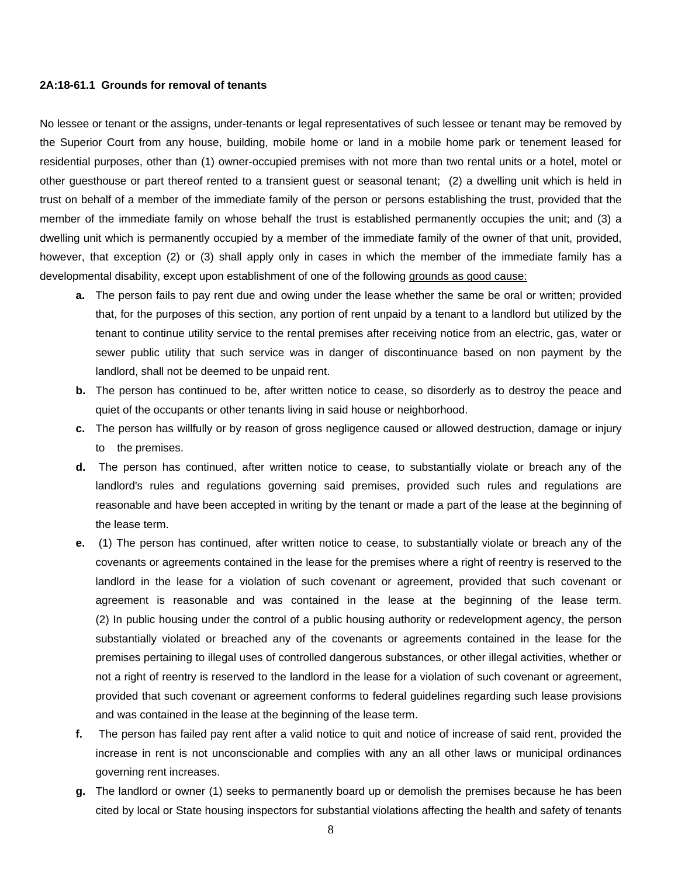#### **2A:18-61.1****Grounds for removal of tenants**

No lessee or tenant or the assigns, under-tenants or legal representatives of such lessee or tenant may be removed by the Superior Court from any house, building, mobile home or land in a mobile home park or tenement leased for residential purposes, other than (1) owner-occupied premises with not more than two rental units or a hotel, motel or other guesthouse or part thereof rented to a transient guest or seasonal tenant; (2) a dwelling unit which is held in trust on behalf of a member of the immediate family of the person or persons establishing the trust, provided that the member of the immediate family on whose behalf the trust is established permanently occupies the unit; and (3) a dwelling unit which is permanently occupied by a member of the immediate family of the owner of that unit, provided, however, that exception (2) or (3) shall apply only in cases in which the member of the immediate family has a developmental disability, except upon establishment of one of the following grounds as good cause:

- **a.** The person fails to pay rent due and owing under the lease whether the same be oral or written; provided that, for the purposes of this section, any portion of rent unpaid by a tenant to a landlord but utilized by the tenant to continue utility service to the rental premises after receiving notice from an electric, gas, water or sewer public utility that such service was in danger of discontinuance based on non payment by the landlord, shall not be deemed to be unpaid rent.
- **b.** The person has continued to be, after written notice to cease, so disorderly as to destroy the peace and quiet of the occupants or other tenants living in said house or neighborhood.
- **c.** The person has willfully or by reason of gross negligence caused or allowed destruction, damage or injury to the premises.
- **d.** The person has continued, after written notice to cease, to substantially violate or breach any of the landlord's rules and regulations governing said premises, provided such rules and regulations are reasonable and have been accepted in writing by the tenant or made a part of the lease at the beginning of the lease term.
- **e.** (1) The person has continued, after written notice to cease, to substantially violate or breach any of the covenants or agreements contained in the lease for the premises where a right of reentry is reserved to the landlord in the lease for a violation of such covenant or agreement, provided that such covenant or agreement is reasonable and was contained in the lease at the beginning of the lease term. (2) In public housing under the control of a public housing authority or redevelopment agency, the person substantially violated or breached any of the covenants or agreements contained in the lease for the premises pertaining to illegal uses of controlled dangerous substances, or other illegal activities, whether or not a right of reentry is reserved to the landlord in the lease for a violation of such covenant or agreement, provided that such covenant or agreement conforms to federal guidelines regarding such lease provisions and was contained in the lease at the beginning of the lease term.
- **f.** The person has failed pay rent after a valid notice to quit and notice of increase of said rent, provided the increase in rent is not unconscionable and complies with any an all other laws or municipal ordinances governing rent increases.
- **g.** The landlord or owner (1) seeks to permanently board up or demolish the premises because he has been cited by local or State housing inspectors for substantial violations affecting the health and safety of tenants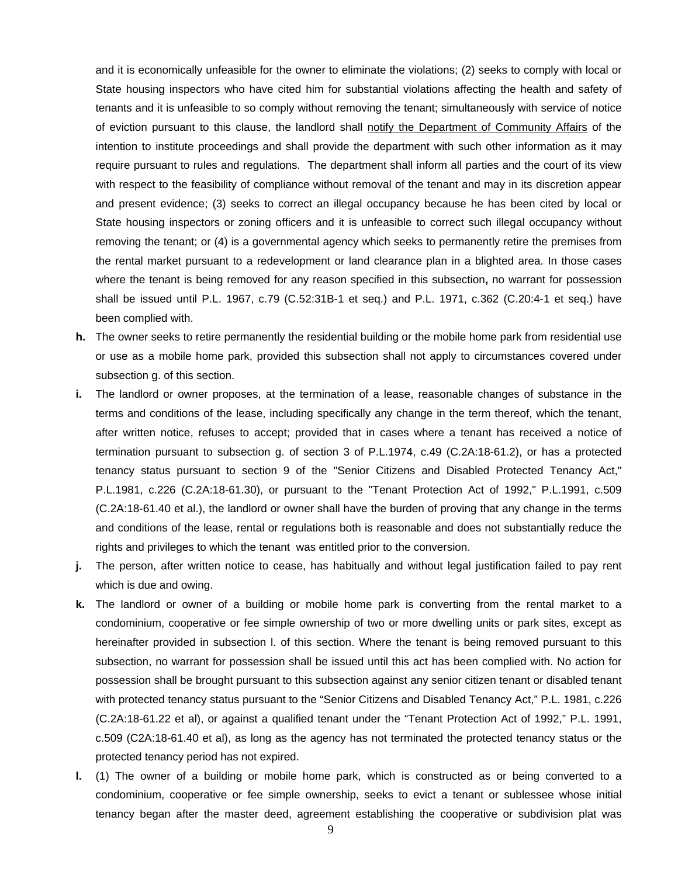and it is economically unfeasible for the owner to eliminate the violations; (2) seeks to comply with local or State housing inspectors who have cited him for substantial violations affecting the health and safety of tenants and it is unfeasible to so comply without removing the tenant; simultaneously with service of notice of eviction pursuant to this clause, the landlord shall notify the Department of Community Affairs of the intention to institute proceedings and shall provide the department with such other information as it may require pursuant to rules and regulations. The department shall inform all parties and the court of its view with respect to the feasibility of compliance without removal of the tenant and may in its discretion appear and present evidence; (3) seeks to correct an illegal occupancy because he has been cited by local or State housing inspectors or zoning officers and it is unfeasible to correct such illegal occupancy without removing the tenant; or (4) is a governmental agency which seeks to permanently retire the premises from the rental market pursuant to a redevelopment or land clearance plan in a blighted area. In those cases where the tenant is being removed for any reason specified in this subsection**,** no warrant for possession shall be issued until P.L. 1967, c.79 (C.52:31B-1 et seq.) and P.L. 1971, c.362 (C.20:4-1 et seq.) have been complied with.

- **h.** The owner seeks to retire permanently the residential building or the mobile home park from residential use or use as a mobile home park, provided this subsection shall not apply to circumstances covered under subsection g. of this section.
- **i.** The landlord or owner proposes, at the termination of a lease, reasonable changes of substance in the terms and conditions of the lease, including specifically any change in the term thereof, which the tenant, after written notice, refuses to accept; provided that in cases where a tenant has received a notice of termination pursuant to subsection g. of section 3 of P.L.1974, c.49 (C.2A:18-61.2), or has a protected tenancy status pursuant to section 9 of the "Senior Citizens and Disabled Protected Tenancy Act," P.L.1981, c.226 (C.2A:18-61.30), or pursuant to the "Tenant Protection Act of 1992," P.L.1991, c.509 (C.2A:18-61.40 et al.), the landlord or owner shall have the burden of proving that any change in the terms and conditions of the lease, rental or regulations both is reasonable and does not substantially reduce the rights and privileges to which the tenant was entitled prior to the conversion.
- **j.** The person, after written notice to cease, has habitually and without legal justification failed to pay rent which is due and owing.
- **k.** The landlord or owner of a building or mobile home park is converting from the rental market to a condominium, cooperative or fee simple ownership of two or more dwelling units or park sites, except as hereinafter provided in subsection l. of this section. Where the tenant is being removed pursuant to this subsection, no warrant for possession shall be issued until this act has been complied with. No action for possession shall be brought pursuant to this subsection against any senior citizen tenant or disabled tenant with protected tenancy status pursuant to the "Senior Citizens and Disabled Tenancy Act," P.L. 1981, c.226 (C.2A:18-61.22 et al), or against a qualified tenant under the "Tenant Protection Act of 1992," P.L. 1991, c.509 (C2A:18-61.40 et al), as long as the agency has not terminated the protected tenancy status or the protected tenancy period has not expired.
- **l.** (1) The owner of a building or mobile home park, which is constructed as or being converted to a condominium, cooperative or fee simple ownership, seeks to evict a tenant or sublessee whose initial tenancy began after the master deed, agreement establishing the cooperative or subdivision plat was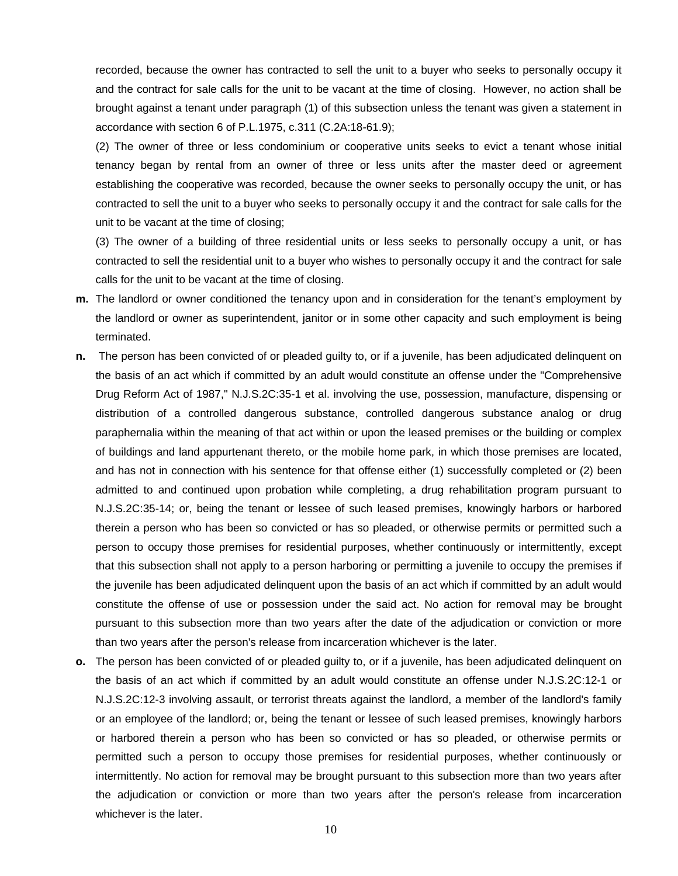recorded, because the owner has contracted to sell the unit to a buyer who seeks to personally occupy it and the contract for sale calls for the unit to be vacant at the time of closing. However, no action shall be brought against a tenant under paragraph (1) of this subsection unless the tenant was given a statement in accordance with section 6 of P.L.1975, c.311 (C.2A:18-61.9);

(2) The owner of three or less condominium or cooperative units seeks to evict a tenant whose initial tenancy began by rental from an owner of three or less units after the master deed or agreement establishing the cooperative was recorded, because the owner seeks to personally occupy the unit, or has contracted to sell the unit to a buyer who seeks to personally occupy it and the contract for sale calls for the unit to be vacant at the time of closing;

(3) The owner of a building of three residential units or less seeks to personally occupy a unit, or has contracted to sell the residential unit to a buyer who wishes to personally occupy it and the contract for sale calls for the unit to be vacant at the time of closing.

- **m.** The landlord or owner conditioned the tenancy upon and in consideration for the tenant's employment by the landlord or owner as superintendent, janitor or in some other capacity and such employment is being terminated.
- **n.** The person has been convicted of or pleaded guilty to, or if a juvenile, has been adjudicated delinquent on the basis of an act which if committed by an adult would constitute an offense under the "Comprehensive Drug Reform Act of 1987," N.J.S.2C:35-1 et al. involving the use, possession, manufacture, dispensing or distribution of a controlled dangerous substance, controlled dangerous substance analog or drug paraphernalia within the meaning of that act within or upon the leased premises or the building or complex of buildings and land appurtenant thereto, or the mobile home park, in which those premises are located, and has not in connection with his sentence for that offense either (1) successfully completed or (2) been admitted to and continued upon probation while completing, a drug rehabilitation program pursuant to N.J.S.2C:35-14; or, being the tenant or lessee of such leased premises, knowingly harbors or harbored therein a person who has been so convicted or has so pleaded, or otherwise permits or permitted such a person to occupy those premises for residential purposes, whether continuously or intermittently, except that this subsection shall not apply to a person harboring or permitting a juvenile to occupy the premises if the juvenile has been adjudicated delinquent upon the basis of an act which if committed by an adult would constitute the offense of use or possession under the said act. No action for removal may be brought pursuant to this subsection more than two years after the date of the adjudication or conviction or more than two years after the person's release from incarceration whichever is the later.
- **o.** The person has been convicted of or pleaded guilty to, or if a juvenile, has been adjudicated delinquent on the basis of an act which if committed by an adult would constitute an offense under N.J.S.2C:12-1 or N.J.S.2C:12-3 involving assault, or terrorist threats against the landlord, a member of the landlord's family or an employee of the landlord; or, being the tenant or lessee of such leased premises, knowingly harbors or harbored therein a person who has been so convicted or has so pleaded, or otherwise permits or permitted such a person to occupy those premises for residential purposes, whether continuously or intermittently. No action for removal may be brought pursuant to this subsection more than two years after the adjudication or conviction or more than two years after the person's release from incarceration whichever is the later.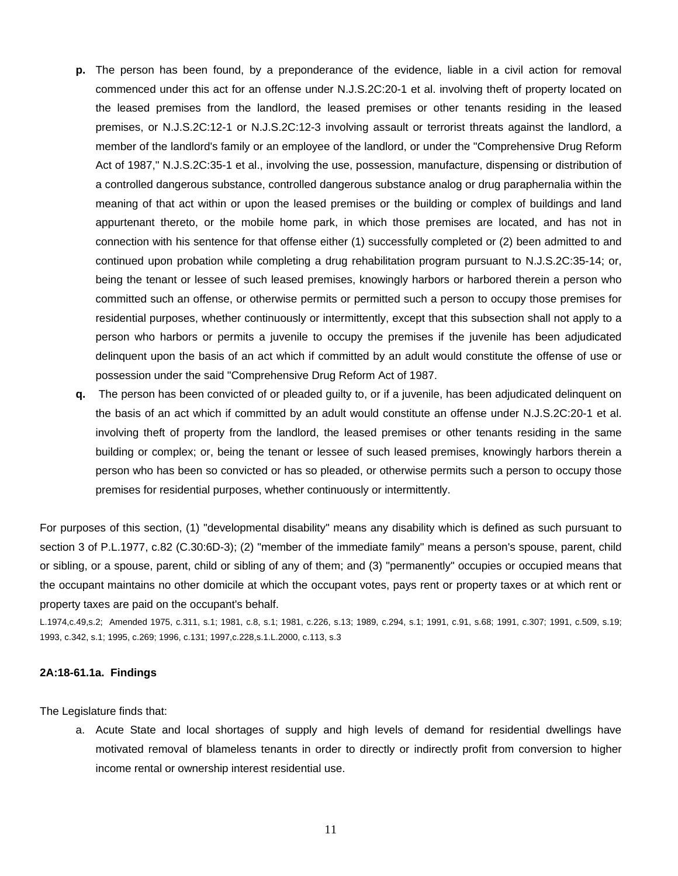- **p.** The person has been found, by a preponderance of the evidence, liable in a civil action for removal commenced under this act for an offense under N.J.S.2C:20-1 et al. involving theft of property located on the leased premises from the landlord, the leased premises or other tenants residing in the leased premises, or N.J.S.2C:12-1 or N.J.S.2C:12-3 involving assault or terrorist threats against the landlord, a member of the landlord's family or an employee of the landlord, or under the "Comprehensive Drug Reform Act of 1987," N.J.S.2C:35-1 et al., involving the use, possession, manufacture, dispensing or distribution of a controlled dangerous substance, controlled dangerous substance analog or drug paraphernalia within the meaning of that act within or upon the leased premises or the building or complex of buildings and land appurtenant thereto, or the mobile home park, in which those premises are located, and has not in connection with his sentence for that offense either (1) successfully completed or (2) been admitted to and continued upon probation while completing a drug rehabilitation program pursuant to N.J.S.2C:35-14; or, being the tenant or lessee of such leased premises, knowingly harbors or harbored therein a person who committed such an offense, or otherwise permits or permitted such a person to occupy those premises for residential purposes, whether continuously or intermittently, except that this subsection shall not apply to a person who harbors or permits a juvenile to occupy the premises if the juvenile has been adjudicated delinquent upon the basis of an act which if committed by an adult would constitute the offense of use or possession under the said "Comprehensive Drug Reform Act of 1987.
- **q.** The person has been convicted of or pleaded guilty to, or if a juvenile, has been adjudicated delinquent on the basis of an act which if committed by an adult would constitute an offense under N.J.S.2C:20-1 et al. involving theft of property from the landlord, the leased premises or other tenants residing in the same building or complex; or, being the tenant or lessee of such leased premises, knowingly harbors therein a person who has been so convicted or has so pleaded, or otherwise permits such a person to occupy those premises for residential purposes, whether continuously or intermittently.

For purposes of this section, (1) "developmental disability" means any disability which is defined as such pursuant to section 3 of P.L.1977, c.82 (C.30:6D-3); (2) "member of the immediate family" means a person's spouse, parent, child or sibling, or a spouse, parent, child or sibling of any of them; and (3) "permanently" occupies or occupied means that the occupant maintains no other domicile at which the occupant votes, pays rent or property taxes or at which rent or property taxes are paid on the occupant's behalf.

L.1974,c.49,s.2; Amended 1975, c.311, s.1; 1981, c.8, s.1; 1981, c.226, s.13; 1989, c.294, s.1; 1991, c.91, s.68; 1991, c.307; 1991, c.509, s.19; 1993, c.342, s.1; 1995, c.269; 1996, c.131; 1997,c.228,s.1.L.2000, c.113, s.3

#### **2A:18-61.1a. Findings**

The Legislature finds that:

a. Acute State and local shortages of supply and high levels of demand for residential dwellings have motivated removal of blameless tenants in order to directly or indirectly profit from conversion to higher income rental or ownership interest residential use.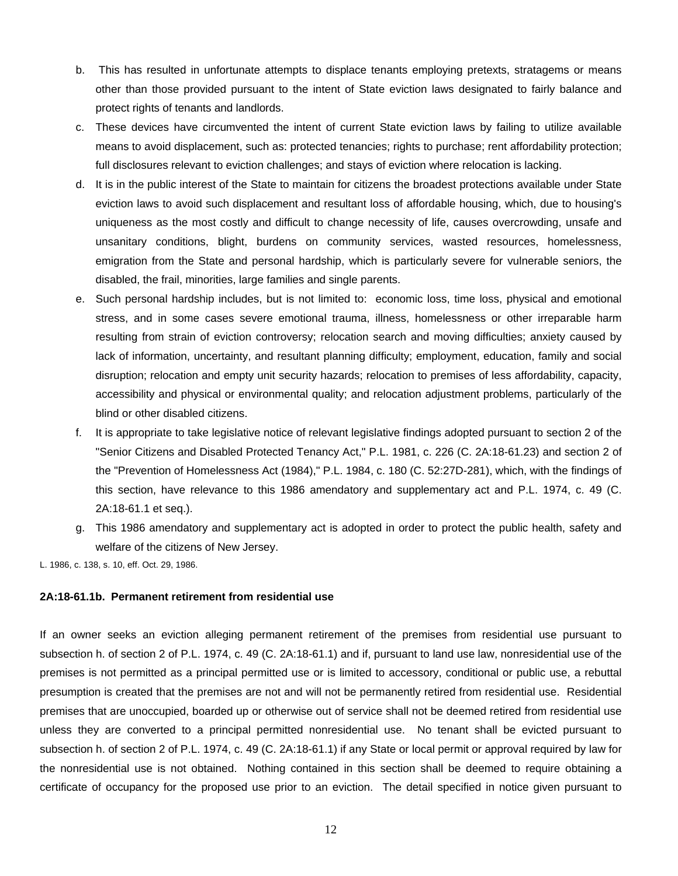- b. This has resulted in unfortunate attempts to displace tenants employing pretexts, stratagems or means other than those provided pursuant to the intent of State eviction laws designated to fairly balance and protect rights of tenants and landlords.
- c. These devices have circumvented the intent of current State eviction laws by failing to utilize available means to avoid displacement, such as: protected tenancies; rights to purchase; rent affordability protection; full disclosures relevant to eviction challenges; and stays of eviction where relocation is lacking.
- d. It is in the public interest of the State to maintain for citizens the broadest protections available under State eviction laws to avoid such displacement and resultant loss of affordable housing, which, due to housing's uniqueness as the most costly and difficult to change necessity of life, causes overcrowding, unsafe and unsanitary conditions, blight, burdens on community services, wasted resources, homelessness, emigration from the State and personal hardship, which is particularly severe for vulnerable seniors, the disabled, the frail, minorities, large families and single parents.
- e. Such personal hardship includes, but is not limited to: economic loss, time loss, physical and emotional stress, and in some cases severe emotional trauma, illness, homelessness or other irreparable harm resulting from strain of eviction controversy; relocation search and moving difficulties; anxiety caused by lack of information, uncertainty, and resultant planning difficulty; employment, education, family and social disruption; relocation and empty unit security hazards; relocation to premises of less affordability, capacity, accessibility and physical or environmental quality; and relocation adjustment problems, particularly of the blind or other disabled citizens.
- f. It is appropriate to take legislative notice of relevant legislative findings adopted pursuant to section 2 of the "Senior Citizens and Disabled Protected Tenancy Act," P.L. 1981, c. 226 (C. 2A:18-61.23) and section 2 of the "Prevention of Homelessness Act (1984)," P.L. 1984, c. 180 (C. 52:27D-281), which, with the findings of this section, have relevance to this 1986 amendatory and supplementary act and P.L. 1974, c. 49 (C. 2A:18-61.1 et seq.).
- g. This 1986 amendatory and supplementary act is adopted in order to protect the public health, safety and welfare of the citizens of New Jersey.

L. 1986, c. 138, s. 10, eff. Oct. 29, 1986.

# **2A:18-61.1b. Permanent retirement from residential use**

If an owner seeks an eviction alleging permanent retirement of the premises from residential use pursuant to subsection h. of section 2 of P.L. 1974, c. 49 (C. 2A:18-61.1) and if, pursuant to land use law, nonresidential use of the premises is not permitted as a principal permitted use or is limited to accessory, conditional or public use, a rebuttal presumption is created that the premises are not and will not be permanently retired from residential use. Residential premises that are unoccupied, boarded up or otherwise out of service shall not be deemed retired from residential use unless they are converted to a principal permitted nonresidential use. No tenant shall be evicted pursuant to subsection h. of section 2 of P.L. 1974, c. 49 (C. 2A:18-61.1) if any State or local permit or approval required by law for the nonresidential use is not obtained. Nothing contained in this section shall be deemed to require obtaining a certificate of occupancy for the proposed use prior to an eviction. The detail specified in notice given pursuant to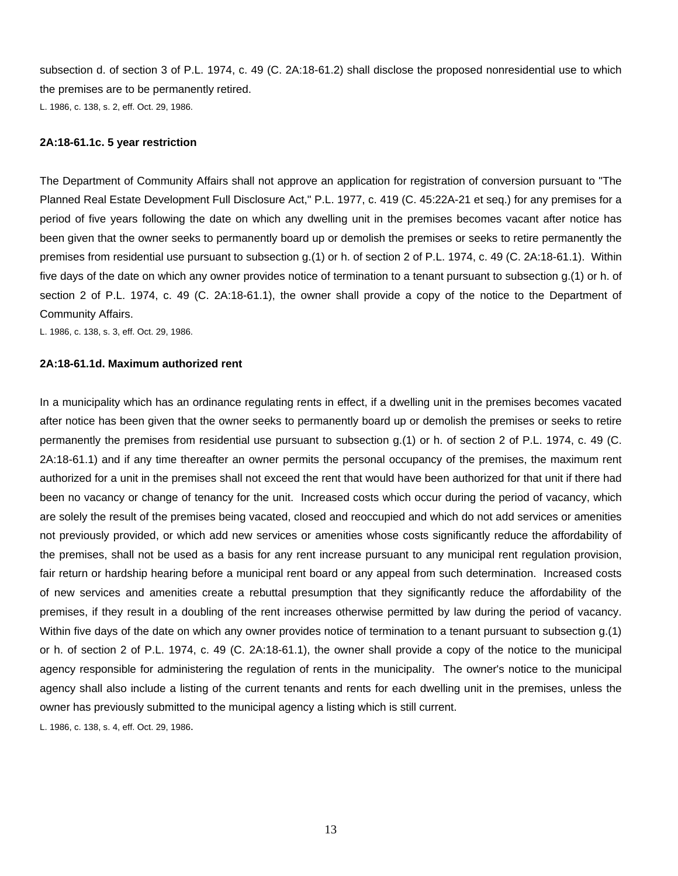subsection d. of section 3 of P.L. 1974, c. 49 (C. 2A:18-61.2) shall disclose the proposed nonresidential use to which the premises are to be permanently retired. L. 1986, c. 138, s. 2, eff. Oct. 29, 1986.

#### **2A:18-61.1c. 5 year restriction**

The Department of Community Affairs shall not approve an application for registration of conversion pursuant to "The Planned Real Estate Development Full Disclosure Act," P.L. 1977, c. 419 (C. 45:22A-21 et seq.) for any premises for a period of five years following the date on which any dwelling unit in the premises becomes vacant after notice has been given that the owner seeks to permanently board up or demolish the premises or seeks to retire permanently the premises from residential use pursuant to subsection g.(1) or h. of section 2 of P.L. 1974, c. 49 (C. 2A:18-61.1). Within five days of the date on which any owner provides notice of termination to a tenant pursuant to subsection g.(1) or h. of section 2 of P.L. 1974, c. 49 (C. 2A:18-61.1), the owner shall provide a copy of the notice to the Department of Community Affairs.

L. 1986, c. 138, s. 3, eff. Oct. 29, 1986.

#### **2A:18-61.1d. Maximum authorized rent**

In a municipality which has an ordinance regulating rents in effect, if a dwelling unit in the premises becomes vacated after notice has been given that the owner seeks to permanently board up or demolish the premises or seeks to retire permanently the premises from residential use pursuant to subsection g.(1) or h. of section 2 of P.L. 1974, c. 49 (C. 2A:18-61.1) and if any time thereafter an owner permits the personal occupancy of the premises, the maximum rent authorized for a unit in the premises shall not exceed the rent that would have been authorized for that unit if there had been no vacancy or change of tenancy for the unit. Increased costs which occur during the period of vacancy, which are solely the result of the premises being vacated, closed and reoccupied and which do not add services or amenities not previously provided, or which add new services or amenities whose costs significantly reduce the affordability of the premises, shall not be used as a basis for any rent increase pursuant to any municipal rent regulation provision, fair return or hardship hearing before a municipal rent board or any appeal from such determination. Increased costs of new services and amenities create a rebuttal presumption that they significantly reduce the affordability of the premises, if they result in a doubling of the rent increases otherwise permitted by law during the period of vacancy. Within five days of the date on which any owner provides notice of termination to a tenant pursuant to subsection g.(1) or h. of section 2 of P.L. 1974, c. 49 (C. 2A:18-61.1), the owner shall provide a copy of the notice to the municipal agency responsible for administering the regulation of rents in the municipality. The owner's notice to the municipal agency shall also include a listing of the current tenants and rents for each dwelling unit in the premises, unless the owner has previously submitted to the municipal agency a listing which is still current.

L. 1986, c. 138, s. 4, eff. Oct. 29, 1986.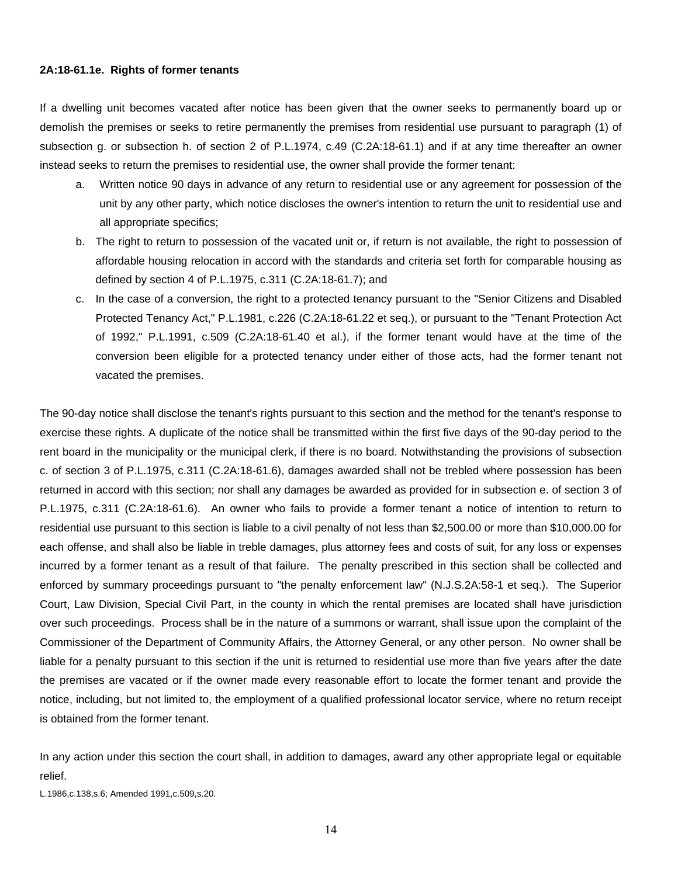#### **2A:18-61.1e. Rights of former tenants**

If a dwelling unit becomes vacated after notice has been given that the owner seeks to permanently board up or demolish the premises or seeks to retire permanently the premises from residential use pursuant to paragraph (1) of subsection g. or subsection h. of section 2 of P.L.1974, c.49 (C.2A:18-61.1) and if at any time thereafter an owner instead seeks to return the premises to residential use, the owner shall provide the former tenant:

- a. Written notice 90 days in advance of any return to residential use or any agreement for possession of the unit by any other party, which notice discloses the owner's intention to return the unit to residential use and all appropriate specifics;
- b. The right to return to possession of the vacated unit or, if return is not available, the right to possession of affordable housing relocation in accord with the standards and criteria set forth for comparable housing as defined by section 4 of P.L.1975, c.311 (C.2A:18-61.7); and
- c. In the case of a conversion, the right to a protected tenancy pursuant to the "Senior Citizens and Disabled Protected Tenancy Act," P.L.1981, c.226 (C.2A:18-61.22 et seq.), or pursuant to the "Tenant Protection Act of 1992," P.L.1991, c.509 (C.2A:18-61.40 et al.), if the former tenant would have at the time of the conversion been eligible for a protected tenancy under either of those acts, had the former tenant not vacated the premises.

The 90-day notice shall disclose the tenant's rights pursuant to this section and the method for the tenant's response to exercise these rights. A duplicate of the notice shall be transmitted within the first five days of the 90-day period to the rent board in the municipality or the municipal clerk, if there is no board. Notwithstanding the provisions of subsection c. of section 3 of P.L.1975, c.311 (C.2A:18-61.6), damages awarded shall not be trebled where possession has been returned in accord with this section; nor shall any damages be awarded as provided for in subsection e. of section 3 of P.L.1975, c.311 (C.2A:18-61.6). An owner who fails to provide a former tenant a notice of intention to return to residential use pursuant to this section is liable to a civil penalty of not less than \$2,500.00 or more than \$10,000.00 for each offense, and shall also be liable in treble damages, plus attorney fees and costs of suit, for any loss or expenses incurred by a former tenant as a result of that failure. The penalty prescribed in this section shall be collected and enforced by summary proceedings pursuant to "the penalty enforcement law" (N.J.S.2A:58-1 et seq.). The Superior Court, Law Division, Special Civil Part, in the county in which the rental premises are located shall have jurisdiction over such proceedings. Process shall be in the nature of a summons or warrant, shall issue upon the complaint of the Commissioner of the Department of Community Affairs, the Attorney General, or any other person. No owner shall be liable for a penalty pursuant to this section if the unit is returned to residential use more than five years after the date the premises are vacated or if the owner made every reasonable effort to locate the former tenant and provide the notice, including, but not limited to, the employment of a qualified professional locator service, where no return receipt is obtained from the former tenant.

In any action under this section the court shall, in addition to damages, award any other appropriate legal or equitable relief.

L.1986,c.138,s.6; Amended 1991,c.509,s.20.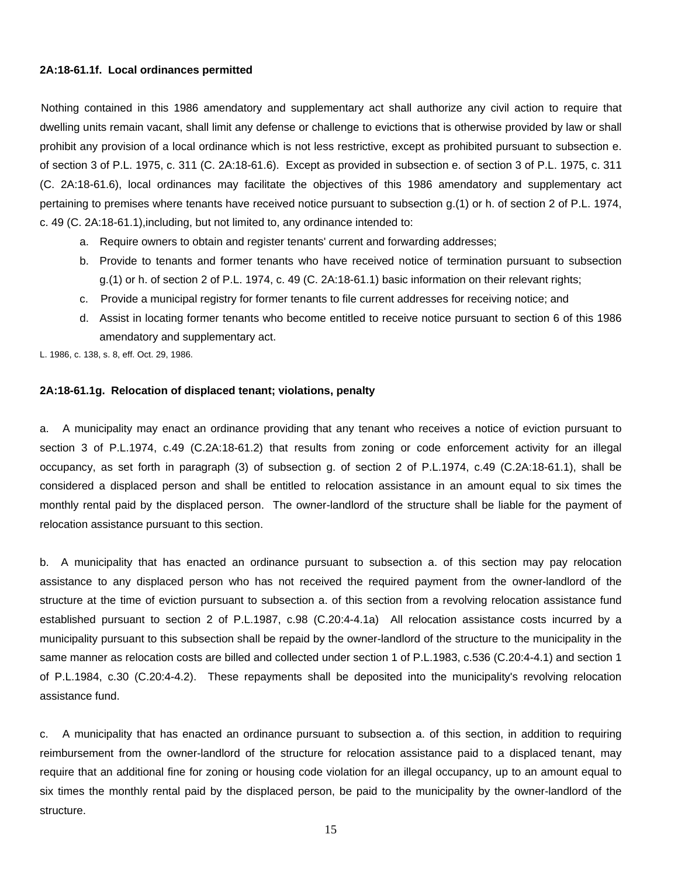#### **2A:18-61.1f. Local ordinances permitted**

 Nothing contained in this 1986 amendatory and supplementary act shall authorize any civil action to require that dwelling units remain vacant, shall limit any defense or challenge to evictions that is otherwise provided by law or shall prohibit any provision of a local ordinance which is not less restrictive, except as prohibited pursuant to subsection e. of section 3 of P.L. 1975, c. 311 (C. 2A:18-61.6). Except as provided in subsection e. of section 3 of P.L. 1975, c. 311 (C. 2A:18-61.6), local ordinances may facilitate the objectives of this 1986 amendatory and supplementary act pertaining to premises where tenants have received notice pursuant to subsection g.(1) or h. of section 2 of P.L. 1974, c. 49 (C. 2A:18-61.1),including, but not limited to, any ordinance intended to:

- a. Require owners to obtain and register tenants' current and forwarding addresses;
- b. Provide to tenants and former tenants who have received notice of termination pursuant to subsection g.(1) or h. of section 2 of P.L. 1974, c. 49 (C. 2A:18-61.1) basic information on their relevant rights;
- c. Provide a municipal registry for former tenants to file current addresses for receiving notice; and
- d. Assist in locating former tenants who become entitled to receive notice pursuant to section 6 of this 1986 amendatory and supplementary act.

L. 1986, c. 138, s. 8, eff. Oct. 29, 1986.

#### **2A:18-61.1g. Relocation of displaced tenant; violations, penalty**

a. A municipality may enact an ordinance providing that any tenant who receives a notice of eviction pursuant to section 3 of P.L.1974, c.49 (C.2A:18-61.2) that results from zoning or code enforcement activity for an illegal occupancy, as set forth in paragraph (3) of subsection g. of section 2 of P.L.1974, c.49 (C.2A:18-61.1), shall be considered a displaced person and shall be entitled to relocation assistance in an amount equal to six times the monthly rental paid by the displaced person. The owner-landlord of the structure shall be liable for the payment of relocation assistance pursuant to this section.

b. A municipality that has enacted an ordinance pursuant to subsection a. of this section may pay relocation assistance to any displaced person who has not received the required payment from the owner-landlord of the structure at the time of eviction pursuant to subsection a. of this section from a revolving relocation assistance fund established pursuant to section 2 of P.L.1987, c.98 (C.20:4-4.1a) All relocation assistance costs incurred by a municipality pursuant to this subsection shall be repaid by the owner-landlord of the structure to the municipality in the same manner as relocation costs are billed and collected under section 1 of P.L.1983, c.536 (C.20:4-4.1) and section 1 of P.L.1984, c.30 (C.20:4-4.2). These repayments shall be deposited into the municipality's revolving relocation assistance fund.

c. A municipality that has enacted an ordinance pursuant to subsection a. of this section, in addition to requiring reimbursement from the owner-landlord of the structure for relocation assistance paid to a displaced tenant, may require that an additional fine for zoning or housing code violation for an illegal occupancy, up to an amount equal to six times the monthly rental paid by the displaced person, be paid to the municipality by the owner-landlord of the structure.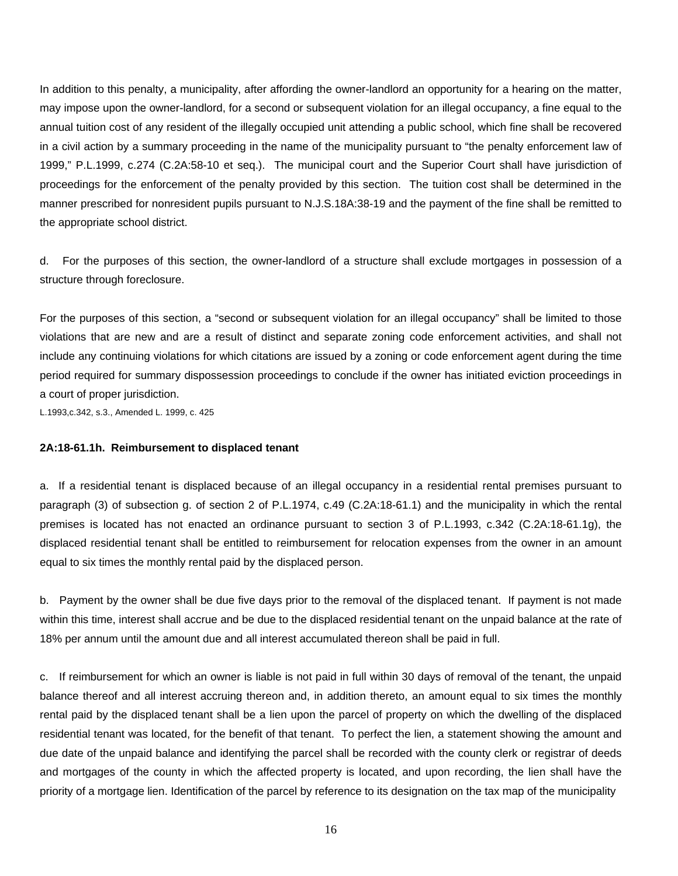In addition to this penalty, a municipality, after affording the owner-landlord an opportunity for a hearing on the matter, may impose upon the owner-landlord, for a second or subsequent violation for an illegal occupancy, a fine equal to the annual tuition cost of any resident of the illegally occupied unit attending a public school, which fine shall be recovered in a civil action by a summary proceeding in the name of the municipality pursuant to "the penalty enforcement law of 1999," P.L.1999, c.274 (C.2A:58-10 et seq.). The municipal court and the Superior Court shall have jurisdiction of proceedings for the enforcement of the penalty provided by this section. The tuition cost shall be determined in the manner prescribed for nonresident pupils pursuant to N.J.S.18A:38-19 and the payment of the fine shall be remitted to the appropriate school district.

d. For the purposes of this section, the owner-landlord of a structure shall exclude mortgages in possession of a structure through foreclosure.

For the purposes of this section, a "second or subsequent violation for an illegal occupancy" shall be limited to those violations that are new and are a result of distinct and separate zoning code enforcement activities, and shall not include any continuing violations for which citations are issued by a zoning or code enforcement agent during the time period required for summary dispossession proceedings to conclude if the owner has initiated eviction proceedings in a court of proper jurisdiction.

L.1993,c.342, s.3., Amended L. 1999, c. 425

#### **2A:18-61.1h. Reimbursement to displaced tenant**

a. If a residential tenant is displaced because of an illegal occupancy in a residential rental premises pursuant to paragraph (3) of subsection g. of section 2 of P.L.1974, c.49 (C.2A:18-61.1) and the municipality in which the rental premises is located has not enacted an ordinance pursuant to section 3 of P.L.1993, c.342 (C.2A:18-61.1g), the displaced residential tenant shall be entitled to reimbursement for relocation expenses from the owner in an amount equal to six times the monthly rental paid by the displaced person.

b. Payment by the owner shall be due five days prior to the removal of the displaced tenant. If payment is not made within this time, interest shall accrue and be due to the displaced residential tenant on the unpaid balance at the rate of 18% per annum until the amount due and all interest accumulated thereon shall be paid in full.

c. If reimbursement for which an owner is liable is not paid in full within 30 days of removal of the tenant, the unpaid balance thereof and all interest accruing thereon and, in addition thereto, an amount equal to six times the monthly rental paid by the displaced tenant shall be a lien upon the parcel of property on which the dwelling of the displaced residential tenant was located, for the benefit of that tenant. To perfect the lien, a statement showing the amount and due date of the unpaid balance and identifying the parcel shall be recorded with the county clerk or registrar of deeds and mortgages of the county in which the affected property is located, and upon recording, the lien shall have the priority of a mortgage lien. Identification of the parcel by reference to its designation on the tax map of the municipality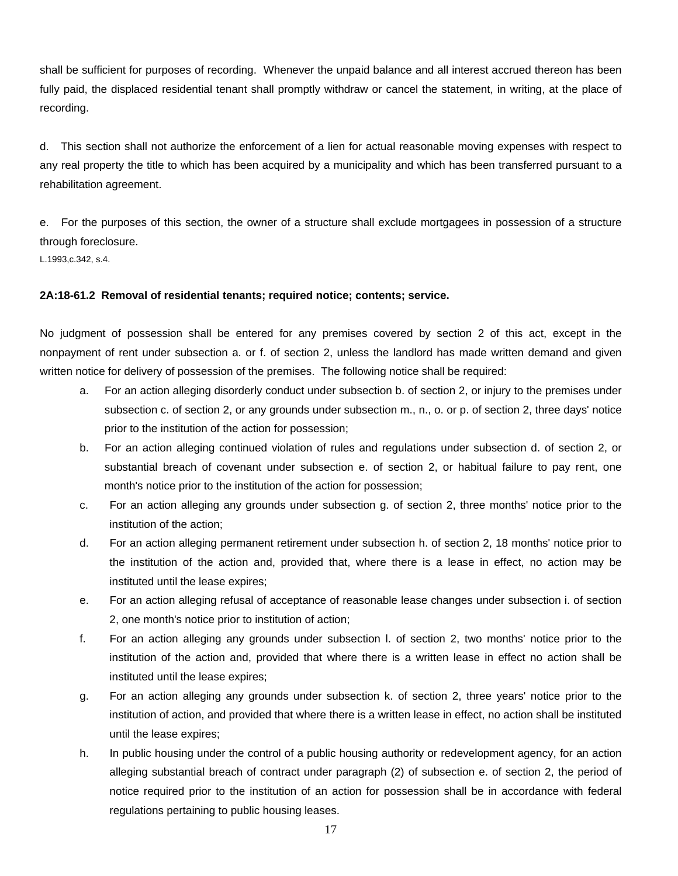shall be sufficient for purposes of recording. Whenever the unpaid balance and all interest accrued thereon has been fully paid, the displaced residential tenant shall promptly withdraw or cancel the statement, in writing, at the place of recording.

d. This section shall not authorize the enforcement of a lien for actual reasonable moving expenses with respect to any real property the title to which has been acquired by a municipality and which has been transferred pursuant to a rehabilitation agreement.

e. For the purposes of this section, the owner of a structure shall exclude mortgagees in possession of a structure through foreclosure.

L.1993,c.342, s.4.

# **2A:18-61.2 Removal of residential tenants; required notice; contents; service.**

No judgment of possession shall be entered for any premises covered by section 2 of this act, except in the nonpayment of rent under subsection a. or f. of section 2, unless the landlord has made written demand and given written notice for delivery of possession of the premises. The following notice shall be required:

- For an action alleging disorderly conduct under subsection b. of section 2, or injury to the premises under subsection c. of section 2, or any grounds under subsection m., n., o. or p. of section 2, three days' notice prior to the institution of the action for possession;
- b. For an action alleging continued violation of rules and regulations under subsection d. of section 2, or substantial breach of covenant under subsection e. of section 2, or habitual failure to pay rent, one month's notice prior to the institution of the action for possession;
- c. For an action alleging any grounds under subsection g. of section 2, three months' notice prior to the institution of the action;
- d. For an action alleging permanent retirement under subsection h. of section 2, 18 months' notice prior to the institution of the action and, provided that, where there is a lease in effect, no action may be instituted until the lease expires;
- e. For an action alleging refusal of acceptance of reasonable lease changes under subsection i. of section 2, one month's notice prior to institution of action;
- f. For an action alleging any grounds under subsection l. of section 2, two months' notice prior to the institution of the action and, provided that where there is a written lease in effect no action shall be instituted until the lease expires;
- g. For an action alleging any grounds under subsection k. of section 2, three years' notice prior to the institution of action, and provided that where there is a written lease in effect, no action shall be instituted until the lease expires;
- h. In public housing under the control of a public housing authority or redevelopment agency, for an action alleging substantial breach of contract under paragraph (2) of subsection e. of section 2, the period of notice required prior to the institution of an action for possession shall be in accordance with federal regulations pertaining to public housing leases.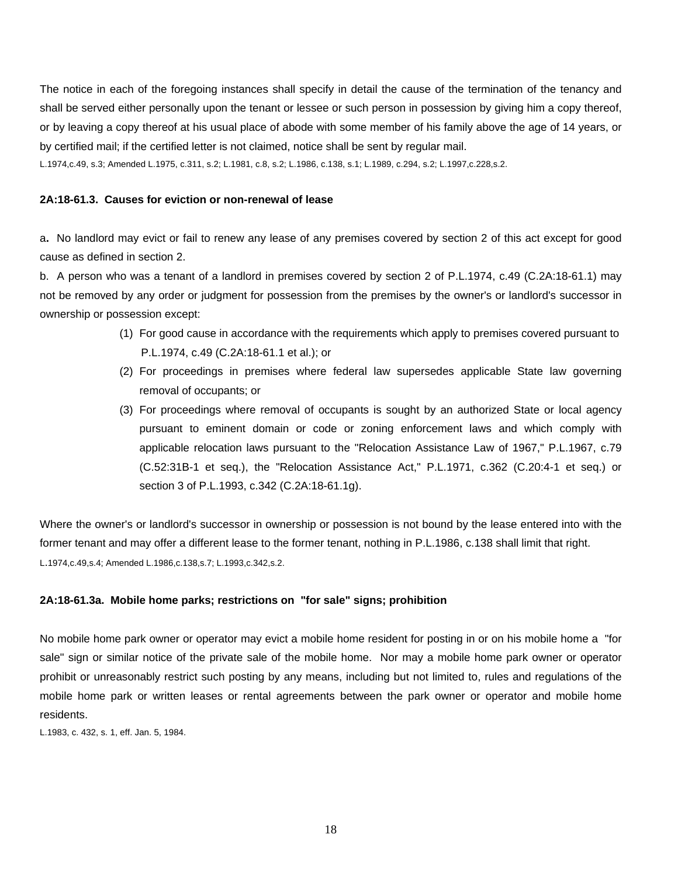The notice in each of the foregoing instances shall specify in detail the cause of the termination of the tenancy and shall be served either personally upon the tenant or lessee or such person in possession by giving him a copy thereof, or by leaving a copy thereof at his usual place of abode with some member of his family above the age of 14 years, or by certified mail; if the certified letter is not claimed, notice shall be sent by regular mail.

L.1974,c.49, s.3; Amended L.1975, c.311, s.2; L.1981, c.8, s.2; L.1986, c.138, s.1; L.1989, c.294, s.2; L.1997,c.228,s.2.

# **2A:18-61.3. Causes for eviction or non-renewal of lease**

a**.** No landlord may evict or fail to renew any lease of any premises covered by section 2 of this act except for good cause as defined in section 2.

b. A person who was a tenant of a landlord in premises covered by section 2 of P.L.1974, c.49 (C.2A:18-61.1) may not be removed by any order or judgment for possession from the premises by the owner's or landlord's successor in ownership or possession except:

- (1) For good cause in accordance with the requirements which apply to premises covered pursuant to P.L.1974, c.49 (C.2A:18-61.1 et al.); or
- (2) For proceedings in premises where federal law supersedes applicable State law governing removal of occupants; or
- (3) For proceedings where removal of occupants is sought by an authorized State or local agency pursuant to eminent domain or code or zoning enforcement laws and which comply with applicable relocation laws pursuant to the "Relocation Assistance Law of 1967," P.L.1967, c.79 (C.52:31B-1 et seq.), the "Relocation Assistance Act," P.L.1971, c.362 (C.20:4-1 et seq.) or section 3 of P.L.1993, c.342 (C.2A:18-61.1g).

Where the owner's or landlord's successor in ownership or possession is not bound by the lease entered into with the former tenant and may offer a different lease to the former tenant, nothing in P.L.1986, c.138 shall limit that right. L.1974,c.49,s.4; Amended L.1986,c.138,s.7; L.1993,c.342,s.2.

# **2A:18-61.3a. Mobile home parks; restrictions on "for sale" signs; prohibition**

No mobile home park owner or operator may evict a mobile home resident for posting in or on his mobile home a "for sale" sign or similar notice of the private sale of the mobile home. Nor may a mobile home park owner or operator prohibit or unreasonably restrict such posting by any means, including but not limited to, rules and regulations of the mobile home park or written leases or rental agreements between the park owner or operator and mobile home residents.

L.1983, c. 432, s. 1, eff. Jan. 5, 1984.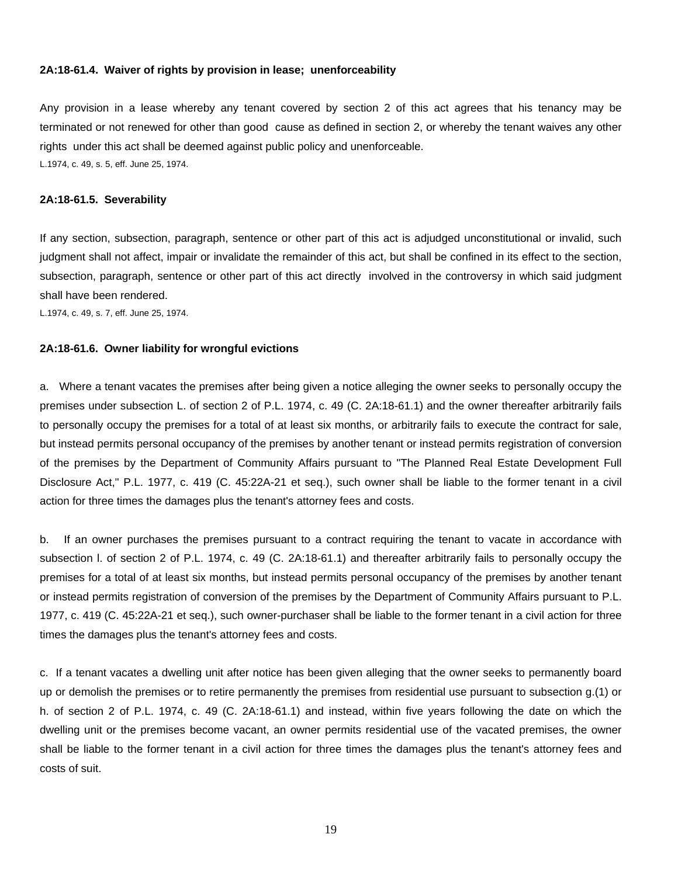#### **2A:18-61.4. Waiver of rights by provision in lease; unenforceability**

Any provision in a lease whereby any tenant covered by section 2 of this act agrees that his tenancy may be terminated or not renewed for other than good cause as defined in section 2, or whereby the tenant waives any other rights under this act shall be deemed against public policy and unenforceable. L.1974, c. 49, s. 5, eff. June 25, 1974.

#### **2A:18-61.5. Severability**

If any section, subsection, paragraph, sentence or other part of this act is adjudged unconstitutional or invalid, such judgment shall not affect, impair or invalidate the remainder of this act, but shall be confined in its effect to the section, subsection, paragraph, sentence or other part of this act directly involved in the controversy in which said judgment shall have been rendered.

L.1974, c. 49, s. 7, eff. June 25, 1974.

### **2A:18-61.6. Owner liability for wrongful evictions**

a. Where a tenant vacates the premises after being given a notice alleging the owner seeks to personally occupy the premises under subsection L. of section 2 of P.L. 1974, c. 49 (C. 2A:18-61.1) and the owner thereafter arbitrarily fails to personally occupy the premises for a total of at least six months, or arbitrarily fails to execute the contract for sale, but instead permits personal occupancy of the premises by another tenant or instead permits registration of conversion of the premises by the Department of Community Affairs pursuant to "The Planned Real Estate Development Full Disclosure Act," P.L. 1977, c. 419 (C. 45:22A-21 et seq.), such owner shall be liable to the former tenant in a civil action for three times the damages plus the tenant's attorney fees and costs.

b. If an owner purchases the premises pursuant to a contract requiring the tenant to vacate in accordance with subsection l. of section 2 of P.L. 1974, c. 49 (C. 2A:18-61.1) and thereafter arbitrarily fails to personally occupy the premises for a total of at least six months, but instead permits personal occupancy of the premises by another tenant or instead permits registration of conversion of the premises by the Department of Community Affairs pursuant to P.L. 1977, c. 419 (C. 45:22A-21 et seq.), such owner-purchaser shall be liable to the former tenant in a civil action for three times the damages plus the tenant's attorney fees and costs.

c. If a tenant vacates a dwelling unit after notice has been given alleging that the owner seeks to permanently board up or demolish the premises or to retire permanently the premises from residential use pursuant to subsection g.(1) or h. of section 2 of P.L. 1974, c. 49 (C. 2A:18-61.1) and instead, within five years following the date on which the dwelling unit or the premises become vacant, an owner permits residential use of the vacated premises, the owner shall be liable to the former tenant in a civil action for three times the damages plus the tenant's attorney fees and costs of suit.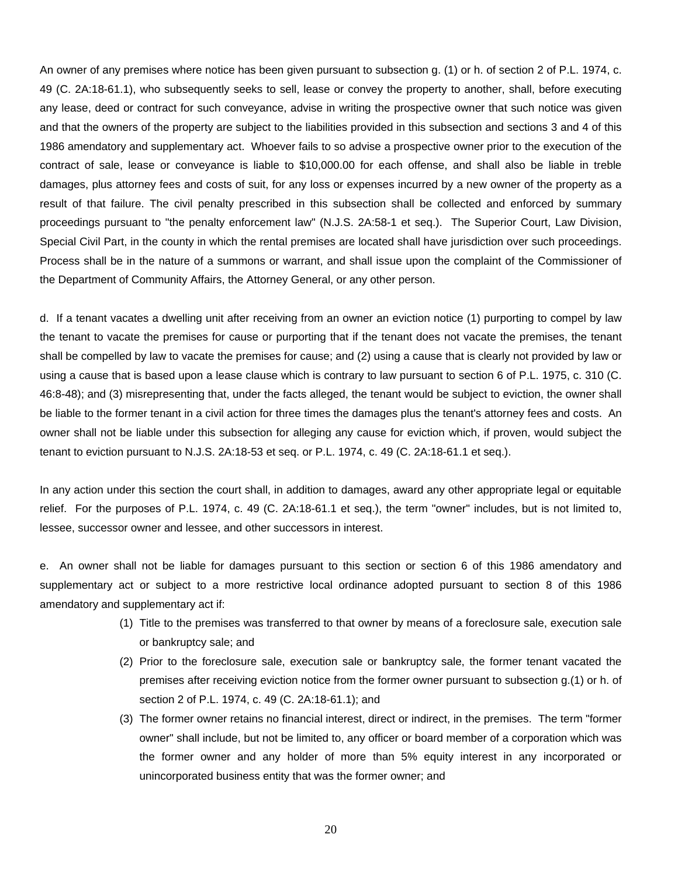An owner of any premises where notice has been given pursuant to subsection g. (1) or h. of section 2 of P.L. 1974, c. 49 (C. 2A:18-61.1), who subsequently seeks to sell, lease or convey the property to another, shall, before executing any lease, deed or contract for such conveyance, advise in writing the prospective owner that such notice was given and that the owners of the property are subject to the liabilities provided in this subsection and sections 3 and 4 of this 1986 amendatory and supplementary act. Whoever fails to so advise a prospective owner prior to the execution of the contract of sale, lease or conveyance is liable to \$10,000.00 for each offense, and shall also be liable in treble damages, plus attorney fees and costs of suit, for any loss or expenses incurred by a new owner of the property as a result of that failure. The civil penalty prescribed in this subsection shall be collected and enforced by summary proceedings pursuant to "the penalty enforcement law" (N.J.S. 2A:58-1 et seq.). The Superior Court, Law Division, Special Civil Part, in the county in which the rental premises are located shall have jurisdiction over such proceedings. Process shall be in the nature of a summons or warrant, and shall issue upon the complaint of the Commissioner of the Department of Community Affairs, the Attorney General, or any other person.

d. If a tenant vacates a dwelling unit after receiving from an owner an eviction notice (1) purporting to compel by law the tenant to vacate the premises for cause or purporting that if the tenant does not vacate the premises, the tenant shall be compelled by law to vacate the premises for cause; and (2) using a cause that is clearly not provided by law or using a cause that is based upon a lease clause which is contrary to law pursuant to section 6 of P.L. 1975, c. 310 (C. 46:8-48); and (3) misrepresenting that, under the facts alleged, the tenant would be subject to eviction, the owner shall be liable to the former tenant in a civil action for three times the damages plus the tenant's attorney fees and costs. An owner shall not be liable under this subsection for alleging any cause for eviction which, if proven, would subject the tenant to eviction pursuant to N.J.S. 2A:18-53 et seq. or P.L. 1974, c. 49 (C. 2A:18-61.1 et seq.).

In any action under this section the court shall, in addition to damages, award any other appropriate legal or equitable relief. For the purposes of P.L. 1974, c. 49 (C. 2A:18-61.1 et seq.), the term "owner" includes, but is not limited to, lessee, successor owner and lessee, and other successors in interest.

e. An owner shall not be liable for damages pursuant to this section or section 6 of this 1986 amendatory and supplementary act or subject to a more restrictive local ordinance adopted pursuant to section 8 of this 1986 amendatory and supplementary act if:

- (1) Title to the premises was transferred to that owner by means of a foreclosure sale, execution sale or bankruptcy sale; and
- (2) Prior to the foreclosure sale, execution sale or bankruptcy sale, the former tenant vacated the premises after receiving eviction notice from the former owner pursuant to subsection g.(1) or h. of section 2 of P.L. 1974, c. 49 (C. 2A:18-61.1); and
- (3) The former owner retains no financial interest, direct or indirect, in the premises. The term "former owner" shall include, but not be limited to, any officer or board member of a corporation which was the former owner and any holder of more than 5% equity interest in any incorporated or unincorporated business entity that was the former owner; and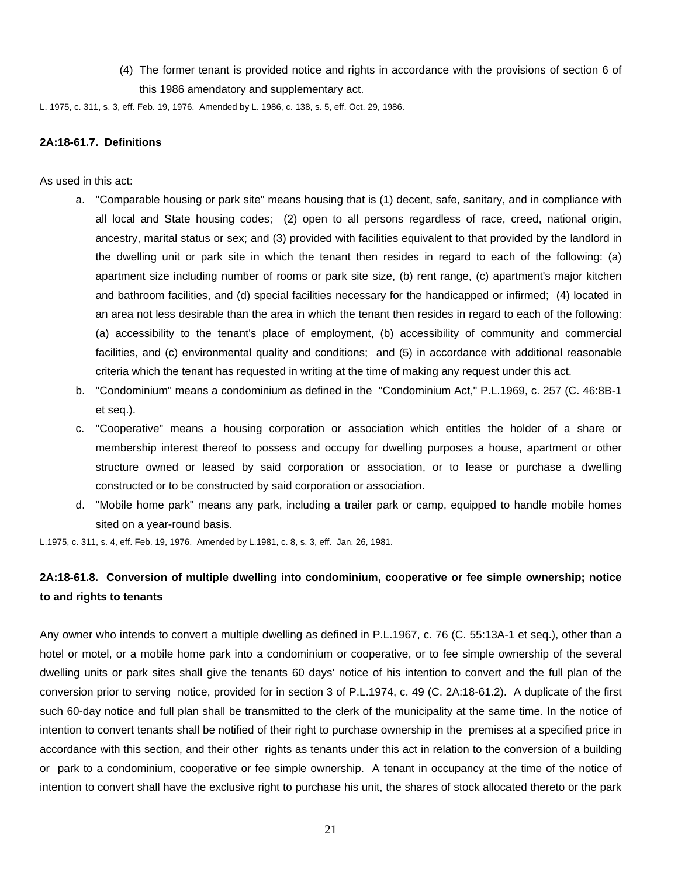(4) The former tenant is provided notice and rights in accordance with the provisions of section 6 of this 1986 amendatory and supplementary act.

L. 1975, c. 311, s. 3, eff. Feb. 19, 1976. Amended by L. 1986, c. 138, s. 5, eff. Oct. 29, 1986.

#### **2A:18-61.7. Definitions**

As used in this act:

- a. "Comparable housing or park site" means housing that is (1) decent, safe, sanitary, and in compliance with all local and State housing codes; (2) open to all persons regardless of race, creed, national origin, ancestry, marital status or sex; and (3) provided with facilities equivalent to that provided by the landlord in the dwelling unit or park site in which the tenant then resides in regard to each of the following: (a) apartment size including number of rooms or park site size, (b) rent range, (c) apartment's major kitchen and bathroom facilities, and (d) special facilities necessary for the handicapped or infirmed; (4) located in an area not less desirable than the area in which the tenant then resides in regard to each of the following: (a) accessibility to the tenant's place of employment, (b) accessibility of community and commercial facilities, and (c) environmental quality and conditions; and (5) in accordance with additional reasonable criteria which the tenant has requested in writing at the time of making any request under this act.
- b. "Condominium" means a condominium as defined in the "Condominium Act," P.L.1969, c. 257 (C. 46:8B-1 et seq.).
- c. "Cooperative" means a housing corporation or association which entitles the holder of a share or membership interest thereof to possess and occupy for dwelling purposes a house, apartment or other structure owned or leased by said corporation or association, or to lease or purchase a dwelling constructed or to be constructed by said corporation or association.
- d. "Mobile home park" means any park, including a trailer park or camp, equipped to handle mobile homes sited on a year-round basis.

L.1975, c. 311, s. 4, eff. Feb. 19, 1976. Amended by L.1981, c. 8, s. 3, eff. Jan. 26, 1981.

# **2A:18-61.8. Conversion of multiple dwelling into condominium, cooperative or fee simple ownership; notice to and rights to tenants**

Any owner who intends to convert a multiple dwelling as defined in P.L.1967, c. 76 (C. 55:13A-1 et seq.), other than a hotel or motel, or a mobile home park into a condominium or cooperative, or to fee simple ownership of the several dwelling units or park sites shall give the tenants 60 days' notice of his intention to convert and the full plan of the conversion prior to serving notice, provided for in section 3 of P.L.1974, c. 49 (C. 2A:18-61.2). A duplicate of the first such 60-day notice and full plan shall be transmitted to the clerk of the municipality at the same time. In the notice of intention to convert tenants shall be notified of their right to purchase ownership in the premises at a specified price in accordance with this section, and their other rights as tenants under this act in relation to the conversion of a building or park to a condominium, cooperative or fee simple ownership. A tenant in occupancy at the time of the notice of intention to convert shall have the exclusive right to purchase his unit, the shares of stock allocated thereto or the park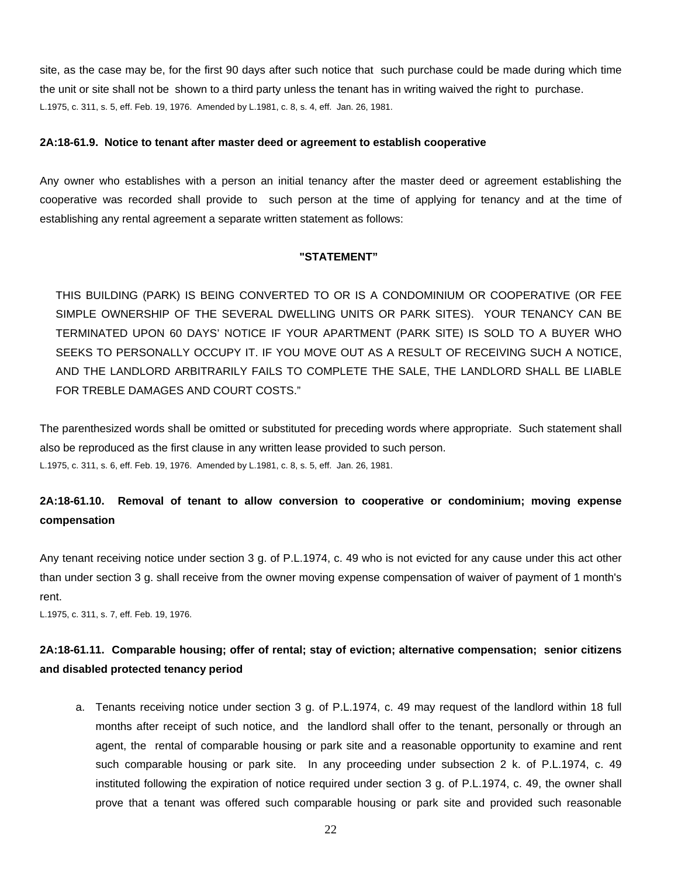site, as the case may be, for the first 90 days after such notice that such purchase could be made during which time the unit or site shall not be shown to a third party unless the tenant has in writing waived the right to purchase. L.1975, c. 311, s. 5, eff. Feb. 19, 1976. Amended by L.1981, c. 8, s. 4, eff. Jan. 26, 1981.

#### **2A:18-61.9. Notice to tenant after master deed or agreement to establish cooperative**

Any owner who establishes with a person an initial tenancy after the master deed or agreement establishing the cooperative was recorded shall provide to such person at the time of applying for tenancy and at the time of establishing any rental agreement a separate written statement as follows:

#### **"STATEMENT"**

THIS BUILDING (PARK) IS BEING CONVERTED TO OR IS A CONDOMINIUM OR COOPERATIVE (OR FEE SIMPLE OWNERSHIP OF THE SEVERAL DWELLING UNITS OR PARK SITES). YOUR TENANCY CAN BE TERMINATED UPON 60 DAYS' NOTICE IF YOUR APARTMENT (PARK SITE) IS SOLD TO A BUYER WHO SEEKS TO PERSONALLY OCCUPY IT. IF YOU MOVE OUT AS A RESULT OF RECEIVING SUCH A NOTICE, AND THE LANDLORD ARBITRARILY FAILS TO COMPLETE THE SALE, THE LANDLORD SHALL BE LIABLE FOR TREBLE DAMAGES AND COURT COSTS."

The parenthesized words shall be omitted or substituted for preceding words where appropriate. Such statement shall also be reproduced as the first clause in any written lease provided to such person. L.1975, c. 311, s. 6, eff. Feb. 19, 1976. Amended by L.1981, c. 8, s. 5, eff. Jan. 26, 1981.

# **2A:18-61.10. Removal of tenant to allow conversion to cooperative or condominium; moving expense compensation**

Any tenant receiving notice under section 3 g. of P.L.1974, c. 49 who is not evicted for any cause under this act other than under section 3 g. shall receive from the owner moving expense compensation of waiver of payment of 1 month's rent.

L.1975, c. 311, s. 7, eff. Feb. 19, 1976.

# **2A:18-61.11. Comparable housing; offer of rental; stay of eviction; alternative compensation; senior citizens and disabled protected tenancy period**

a. Tenants receiving notice under section 3 g. of P.L.1974, c. 49 may request of the landlord within 18 full months after receipt of such notice, and the landlord shall offer to the tenant, personally or through an agent, the rental of comparable housing or park site and a reasonable opportunity to examine and rent such comparable housing or park site. In any proceeding under subsection 2 k. of P.L.1974, c. 49 instituted following the expiration of notice required under section 3 g. of P.L.1974, c. 49, the owner shall prove that a tenant was offered such comparable housing or park site and provided such reasonable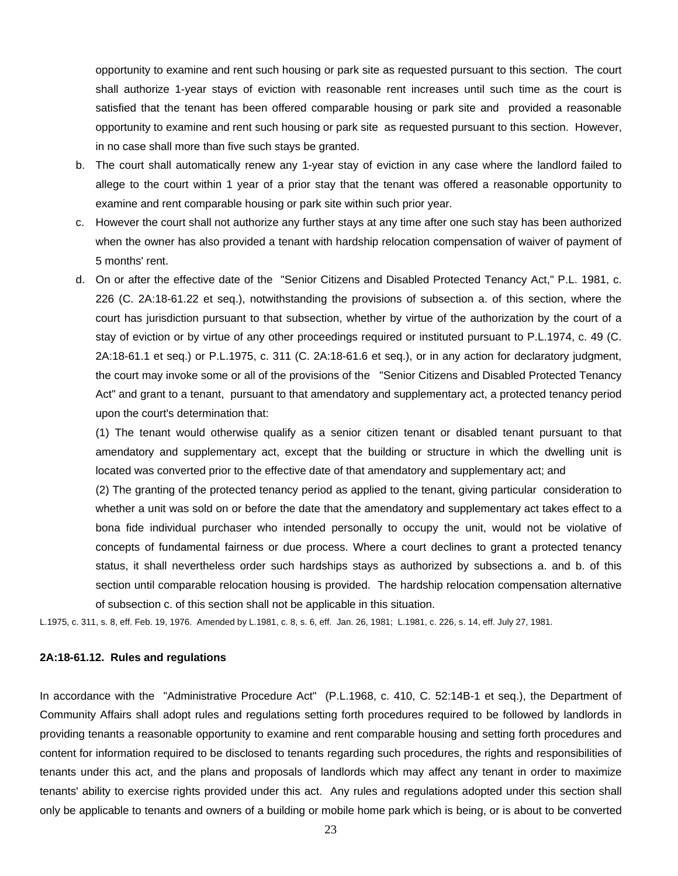opportunity to examine and rent such housing or park site as requested pursuant to this section. The court shall authorize 1-year stays of eviction with reasonable rent increases until such time as the court is satisfied that the tenant has been offered comparable housing or park site and provided a reasonable opportunity to examine and rent such housing or park site as requested pursuant to this section. However, in no case shall more than five such stays be granted.

- b. The court shall automatically renew any 1-year stay of eviction in any case where the landlord failed to allege to the court within 1 year of a prior stay that the tenant was offered a reasonable opportunity to examine and rent comparable housing or park site within such prior year.
- c. However the court shall not authorize any further stays at any time after one such stay has been authorized when the owner has also provided a tenant with hardship relocation compensation of waiver of payment of 5 months' rent.
- d. On or after the effective date of the "Senior Citizens and Disabled Protected Tenancy Act," P.L. 1981, c. 226 (C. 2A:18-61.22 et seq.), notwithstanding the provisions of subsection a. of this section, where the court has jurisdiction pursuant to that subsection, whether by virtue of the authorization by the court of a stay of eviction or by virtue of any other proceedings required or instituted pursuant to P.L.1974, c. 49 (C. 2A:18-61.1 et seq.) or P.L.1975, c. 311 (C. 2A:18-61.6 et seq.), or in any action for declaratory judgment, the court may invoke some or all of the provisions of the "Senior Citizens and Disabled Protected Tenancy Act" and grant to a tenant, pursuant to that amendatory and supplementary act, a protected tenancy period upon the court's determination that:

(1) The tenant would otherwise qualify as a senior citizen tenant or disabled tenant pursuant to that amendatory and supplementary act, except that the building or structure in which the dwelling unit is located was converted prior to the effective date of that amendatory and supplementary act; and

(2) The granting of the protected tenancy period as applied to the tenant, giving particular consideration to whether a unit was sold on or before the date that the amendatory and supplementary act takes effect to a bona fide individual purchaser who intended personally to occupy the unit, would not be violative of concepts of fundamental fairness or due process. Where a court declines to grant a protected tenancy status, it shall nevertheless order such hardships stays as authorized by subsections a. and b. of this section until comparable relocation housing is provided. The hardship relocation compensation alternative of subsection c. of this section shall not be applicable in this situation.

L.1975, c. 311, s. 8, eff. Feb. 19, 1976. Amended by L.1981, c. 8, s. 6, eff. Jan. 26, 1981; L.1981, c. 226, s. 14, eff. July 27, 1981.

### **2A:18-61.12. Rules and regulations**

In accordance with the "Administrative Procedure Act" (P.L.1968, c. 410, C. 52:14B-1 et seq.), the Department of Community Affairs shall adopt rules and regulations setting forth procedures required to be followed by landlords in providing tenants a reasonable opportunity to examine and rent comparable housing and setting forth procedures and content for information required to be disclosed to tenants regarding such procedures, the rights and responsibilities of tenants under this act, and the plans and proposals of landlords which may affect any tenant in order to maximize tenants' ability to exercise rights provided under this act. Any rules and regulations adopted under this section shall only be applicable to tenants and owners of a building or mobile home park which is being, or is about to be converted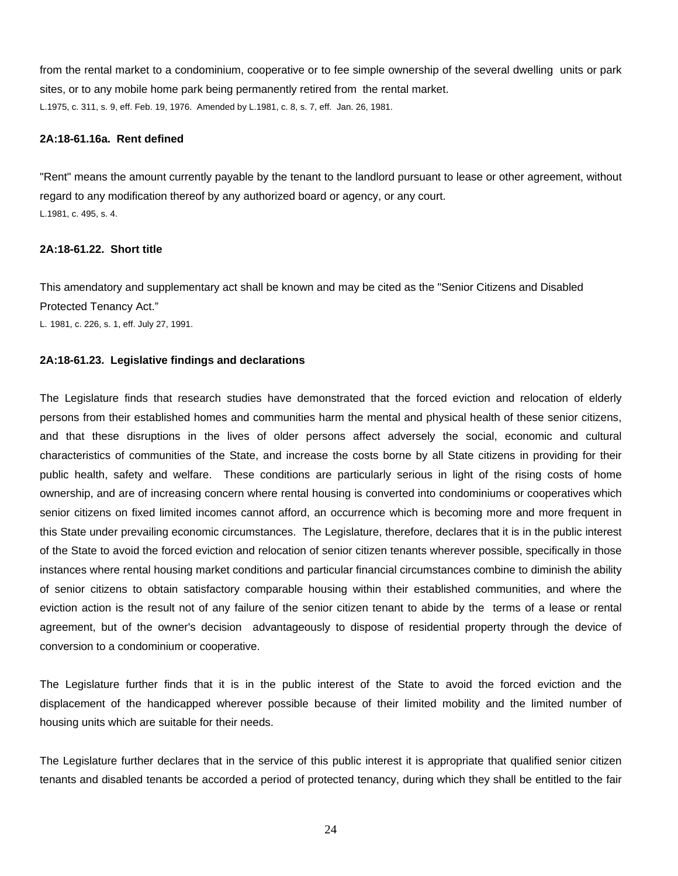from the rental market to a condominium, cooperative or to fee simple ownership of the several dwelling units or park sites, or to any mobile home park being permanently retired from the rental market. L.1975, c. 311, s. 9, eff. Feb. 19, 1976. Amended by L.1981, c. 8, s. 7, eff. Jan. 26, 1981.

### **2A:18-61.16a. Rent defined**

"Rent" means the amount currently payable by the tenant to the landlord pursuant to lease or other agreement, without regard to any modification thereof by any authorized board or agency, or any court. L.1981, c. 495, s. 4.

# **2A:18-61.22. Short title**

This amendatory and supplementary act shall be known and may be cited as the "Senior Citizens and Disabled Protected Tenancy Act."

L. 1981, c. 226, s. 1, eff. July 27, 1991.

### **2A:18-61.23. Legislative findings and declarations**

The Legislature finds that research studies have demonstrated that the forced eviction and relocation of elderly persons from their established homes and communities harm the mental and physical health of these senior citizens, and that these disruptions in the lives of older persons affect adversely the social, economic and cultural characteristics of communities of the State, and increase the costs borne by all State citizens in providing for their public health, safety and welfare. These conditions are particularly serious in light of the rising costs of home ownership, and are of increasing concern where rental housing is converted into condominiums or cooperatives which senior citizens on fixed limited incomes cannot afford, an occurrence which is becoming more and more frequent in this State under prevailing economic circumstances. The Legislature, therefore, declares that it is in the public interest of the State to avoid the forced eviction and relocation of senior citizen tenants wherever possible, specifically in those instances where rental housing market conditions and particular financial circumstances combine to diminish the ability of senior citizens to obtain satisfactory comparable housing within their established communities, and where the eviction action is the result not of any failure of the senior citizen tenant to abide by the terms of a lease or rental agreement, but of the owner's decision advantageously to dispose of residential property through the device of conversion to a condominium or cooperative.

The Legislature further finds that it is in the public interest of the State to avoid the forced eviction and the displacement of the handicapped wherever possible because of their limited mobility and the limited number of housing units which are suitable for their needs.

The Legislature further declares that in the service of this public interest it is appropriate that qualified senior citizen tenants and disabled tenants be accorded a period of protected tenancy, during which they shall be entitled to the fair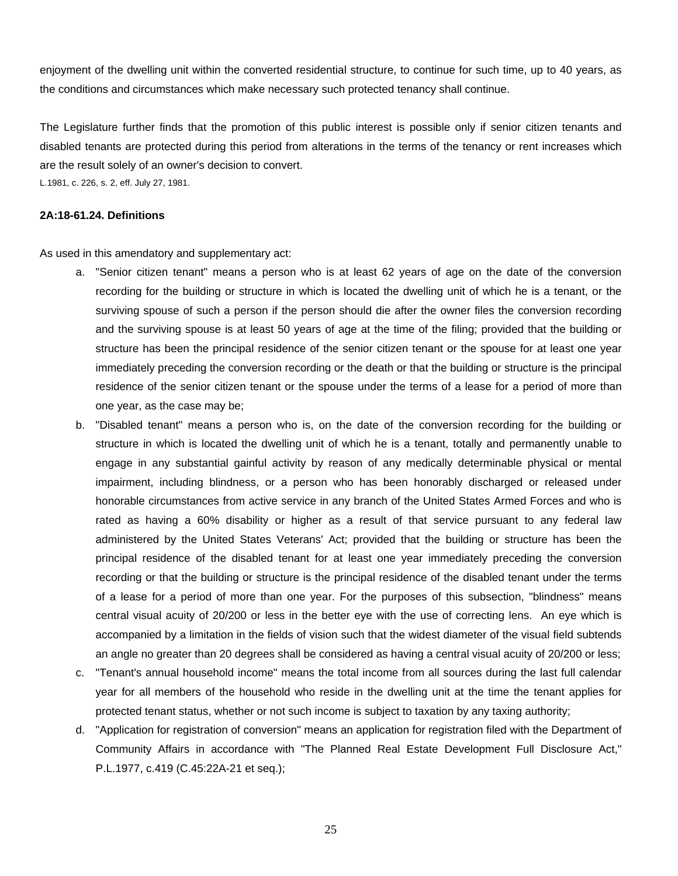enjoyment of the dwelling unit within the converted residential structure, to continue for such time, up to 40 years, as the conditions and circumstances which make necessary such protected tenancy shall continue.

The Legislature further finds that the promotion of this public interest is possible only if senior citizen tenants and disabled tenants are protected during this period from alterations in the terms of the tenancy or rent increases which are the result solely of an owner's decision to convert.

L.1981, c. 226, s. 2, eff. July 27, 1981.

#### **2A:18-61.24. Definitions**

As used in this amendatory and supplementary act:

- a. "Senior citizen tenant" means a person who is at least 62 years of age on the date of the conversion recording for the building or structure in which is located the dwelling unit of which he is a tenant, or the surviving spouse of such a person if the person should die after the owner files the conversion recording and the surviving spouse is at least 50 years of age at the time of the filing; provided that the building or structure has been the principal residence of the senior citizen tenant or the spouse for at least one year immediately preceding the conversion recording or the death or that the building or structure is the principal residence of the senior citizen tenant or the spouse under the terms of a lease for a period of more than one year, as the case may be;
- b. "Disabled tenant" means a person who is, on the date of the conversion recording for the building or structure in which is located the dwelling unit of which he is a tenant, totally and permanently unable to engage in any substantial gainful activity by reason of any medically determinable physical or mental impairment, including blindness, or a person who has been honorably discharged or released under honorable circumstances from active service in any branch of the United States Armed Forces and who is rated as having a 60% disability or higher as a result of that service pursuant to any federal law administered by the United States Veterans' Act; provided that the building or structure has been the principal residence of the disabled tenant for at least one year immediately preceding the conversion recording or that the building or structure is the principal residence of the disabled tenant under the terms of a lease for a period of more than one year. For the purposes of this subsection, "blindness" means central visual acuity of 20/200 or less in the better eye with the use of correcting lens. An eye which is accompanied by a limitation in the fields of vision such that the widest diameter of the visual field subtends an angle no greater than 20 degrees shall be considered as having a central visual acuity of 20/200 or less;
- c. "Tenant's annual household income" means the total income from all sources during the last full calendar year for all members of the household who reside in the dwelling unit at the time the tenant applies for protected tenant status, whether or not such income is subject to taxation by any taxing authority;
- d. "Application for registration of conversion" means an application for registration filed with the Department of Community Affairs in accordance with "The Planned Real Estate Development Full Disclosure Act," P.L.1977, c.419 (C.45:22A-21 et seq.);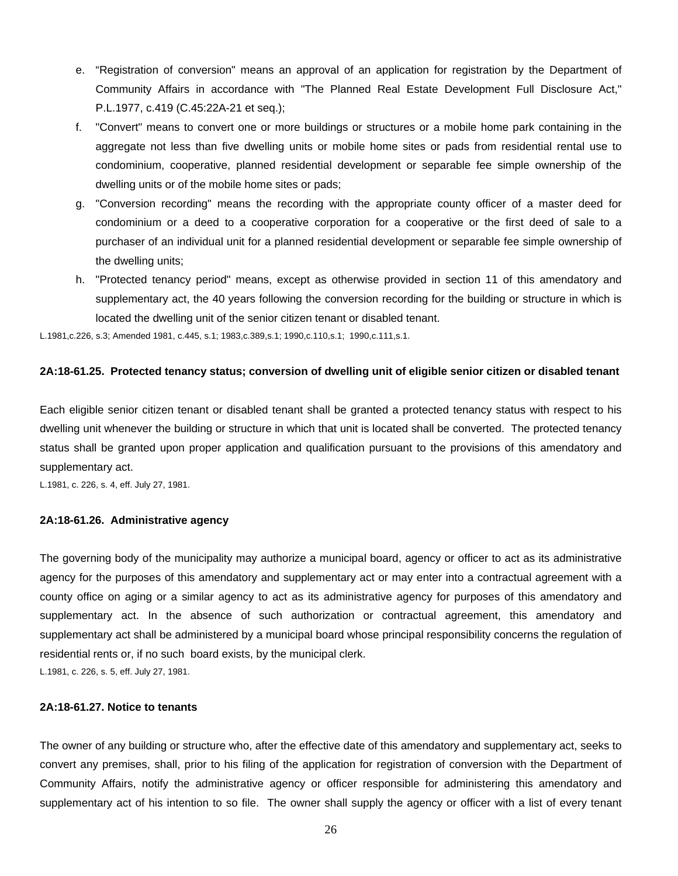- e. "Registration of conversion" means an approval of an application for registration by the Department of Community Affairs in accordance with "The Planned Real Estate Development Full Disclosure Act," P.L.1977, c.419 (C.45:22A-21 et seq.);
- f. "Convert" means to convert one or more buildings or structures or a mobile home park containing in the aggregate not less than five dwelling units or mobile home sites or pads from residential rental use to condominium, cooperative, planned residential development or separable fee simple ownership of the dwelling units or of the mobile home sites or pads;
- g. "Conversion recording" means the recording with the appropriate county officer of a master deed for condominium or a deed to a cooperative corporation for a cooperative or the first deed of sale to a purchaser of an individual unit for a planned residential development or separable fee simple ownership of the dwelling units;
- h. "Protected tenancy period" means, except as otherwise provided in section 11 of this amendatory and supplementary act, the 40 years following the conversion recording for the building or structure in which is located the dwelling unit of the senior citizen tenant or disabled tenant.

L.1981,c.226, s.3; Amended 1981, c.445, s.1; 1983,c.389,s.1; 1990,c.110,s.1; 1990,c.111,s.1.

# **2A:18-61.25. Protected tenancy status; conversion of dwelling unit of eligible senior citizen or disabled tenant**

Each eligible senior citizen tenant or disabled tenant shall be granted a protected tenancy status with respect to his dwelling unit whenever the building or structure in which that unit is located shall be converted. The protected tenancy status shall be granted upon proper application and qualification pursuant to the provisions of this amendatory and supplementary act.

L.1981, c. 226, s. 4, eff. July 27, 1981.

#### **2A:18-61.26. Administrative agency**

The governing body of the municipality may authorize a municipal board, agency or officer to act as its administrative agency for the purposes of this amendatory and supplementary act or may enter into a contractual agreement with a county office on aging or a similar agency to act as its administrative agency for purposes of this amendatory and supplementary act. In the absence of such authorization or contractual agreement, this amendatory and supplementary act shall be administered by a municipal board whose principal responsibility concerns the regulation of residential rents or, if no such board exists, by the municipal clerk. L.1981, c. 226, s. 5, eff. July 27, 1981.

# **2A:18-61.27. Notice to tenants**

The owner of any building or structure who, after the effective date of this amendatory and supplementary act, seeks to convert any premises, shall, prior to his filing of the application for registration of conversion with the Department of Community Affairs, notify the administrative agency or officer responsible for administering this amendatory and supplementary act of his intention to so file. The owner shall supply the agency or officer with a list of every tenant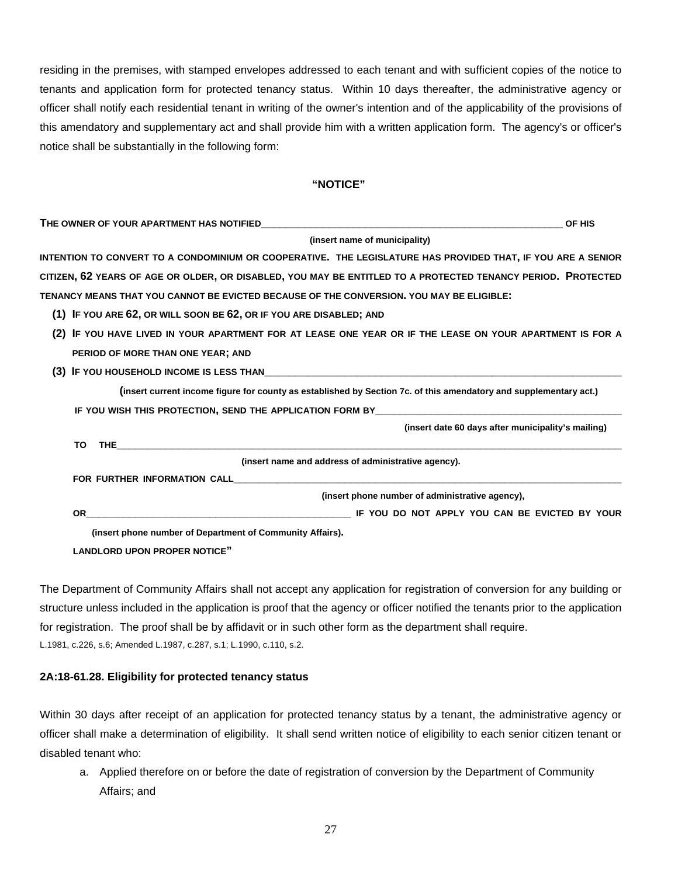residing in the premises, with stamped envelopes addressed to each tenant and with sufficient copies of the notice to tenants and application form for protected tenancy status. Within 10 days thereafter, the administrative agency or officer shall notify each residential tenant in writing of the owner's intention and of the applicability of the provisions of this amendatory and supplementary act and shall provide him with a written application form. The agency's or officer's notice shall be substantially in the following form:

#### **"NOTICE"**

| (insert name of municipality)<br>INTENTION TO CONVERT TO A CONDOMINIUM OR COOPERATIVE. THE LEGISLATURE HAS PROVIDED THAT, IF YOU ARE A SENIOR                                                                                        |  |  |  |  |  |  |  |  |  |  |
|--------------------------------------------------------------------------------------------------------------------------------------------------------------------------------------------------------------------------------------|--|--|--|--|--|--|--|--|--|--|
|                                                                                                                                                                                                                                      |  |  |  |  |  |  |  |  |  |  |
| CITIZEN, 62 YEARS OF AGE OR OLDER, OR DISABLED, YOU MAY BE ENTITLED TO A PROTECTED TENANCY PERIOD. PROTECTED                                                                                                                         |  |  |  |  |  |  |  |  |  |  |
|                                                                                                                                                                                                                                      |  |  |  |  |  |  |  |  |  |  |
| TENANCY MEANS THAT YOU CANNOT BE EVICTED BECAUSE OF THE CONVERSION. YOU MAY BE ELIGIBLE:                                                                                                                                             |  |  |  |  |  |  |  |  |  |  |
| (1) IF YOU ARE 62, OR WILL SOON BE 62, OR IF YOU ARE DISABLED; AND                                                                                                                                                                   |  |  |  |  |  |  |  |  |  |  |
| IF YOU HAVE LIVED IN YOUR APARTMENT FOR AT LEASE ONE YEAR OR IF THE LEASE ON YOUR APARTMENT IS FOR A<br>(2)                                                                                                                          |  |  |  |  |  |  |  |  |  |  |
| PERIOD OF MORE THAN ONE YEAR; AND                                                                                                                                                                                                    |  |  |  |  |  |  |  |  |  |  |
|                                                                                                                                                                                                                                      |  |  |  |  |  |  |  |  |  |  |
| (insert current income figure for county as established by Section 7c. of this amendatory and supplementary act.)                                                                                                                    |  |  |  |  |  |  |  |  |  |  |
| IF YOU WISH THIS PROTECTION, SEND THE APPLICATION FORM BY                                                                                                                                                                            |  |  |  |  |  |  |  |  |  |  |
| (insert date 60 days after municipality's mailing)                                                                                                                                                                                   |  |  |  |  |  |  |  |  |  |  |
| THE THE STATE AND THE STATE OF THE STATE OF THE STATE OF THE STATE OF THE STATE OF THE STATE OF THE STATE OF THE STATE OF THE STATE OF THE STATE OF THE STATE OF THE STATE OF THE STATE OF THE STATE OF THE STATE OF THE STATE<br>TO |  |  |  |  |  |  |  |  |  |  |
| (insert name and address of administrative agency).                                                                                                                                                                                  |  |  |  |  |  |  |  |  |  |  |
| FOR FURTHER INFORMATION CALL THE STATE STATE STATES IN THE STATE STATES.                                                                                                                                                             |  |  |  |  |  |  |  |  |  |  |
| (insert phone number of administrative agency),                                                                                                                                                                                      |  |  |  |  |  |  |  |  |  |  |
| OR .                                                                                                                                                                                                                                 |  |  |  |  |  |  |  |  |  |  |
| (insert phone number of Department of Community Affairs).                                                                                                                                                                            |  |  |  |  |  |  |  |  |  |  |
| <b>LANDLORD UPON PROPER NOTICE"</b>                                                                                                                                                                                                  |  |  |  |  |  |  |  |  |  |  |

The Department of Community Affairs shall not accept any application for registration of conversion for any building or structure unless included in the application is proof that the agency or officer notified the tenants prior to the application for registration. The proof shall be by affidavit or in such other form as the department shall require. L.1981, c.226, s.6; Amended L.1987, c.287, s.1; L.1990, c.110, s.2.

# **2A:18-61.28. Eligibility for protected tenancy status**

Within 30 days after receipt of an application for protected tenancy status by a tenant, the administrative agency or officer shall make a determination of eligibility. It shall send written notice of eligibility to each senior citizen tenant or disabled tenant who:

a. Applied therefore on or before the date of registration of conversion by the Department of Community Affairs; and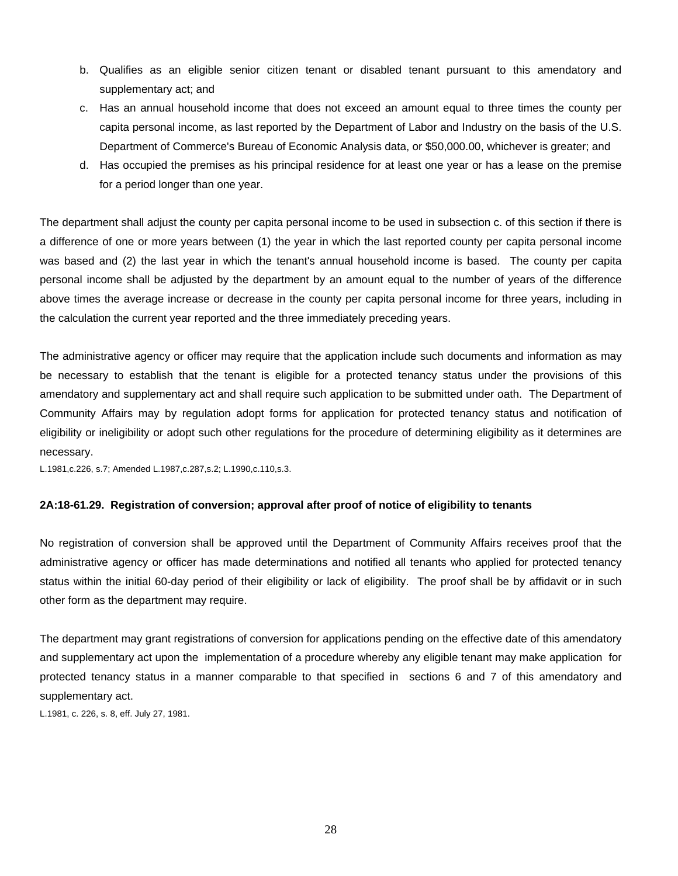- b. Qualifies as an eligible senior citizen tenant or disabled tenant pursuant to this amendatory and supplementary act; and
- c. Has an annual household income that does not exceed an amount equal to three times the county per capita personal income, as last reported by the Department of Labor and Industry on the basis of the U.S. Department of Commerce's Bureau of Economic Analysis data, or \$50,000.00, whichever is greater; and
- d. Has occupied the premises as his principal residence for at least one year or has a lease on the premise for a period longer than one year.

The department shall adjust the county per capita personal income to be used in subsection c. of this section if there is a difference of one or more years between (1) the year in which the last reported county per capita personal income was based and (2) the last year in which the tenant's annual household income is based. The county per capita personal income shall be adjusted by the department by an amount equal to the number of years of the difference above times the average increase or decrease in the county per capita personal income for three years, including in the calculation the current year reported and the three immediately preceding years.

The administrative agency or officer may require that the application include such documents and information as may be necessary to establish that the tenant is eligible for a protected tenancy status under the provisions of this amendatory and supplementary act and shall require such application to be submitted under oath. The Department of Community Affairs may by regulation adopt forms for application for protected tenancy status and notification of eligibility or ineligibility or adopt such other regulations for the procedure of determining eligibility as it determines are necessary.

L.1981,c.226, s.7; Amended L.1987,c.287,s.2; L.1990,c.110,s.3.

# **2A:18-61.29. Registration of conversion; approval after proof of notice of eligibility to tenants**

No registration of conversion shall be approved until the Department of Community Affairs receives proof that the administrative agency or officer has made determinations and notified all tenants who applied for protected tenancy status within the initial 60-day period of their eligibility or lack of eligibility. The proof shall be by affidavit or in such other form as the department may require.

The department may grant registrations of conversion for applications pending on the effective date of this amendatory and supplementary act upon the implementation of a procedure whereby any eligible tenant may make application for protected tenancy status in a manner comparable to that specified in sections 6 and 7 of this amendatory and supplementary act.

L.1981, c. 226, s. 8, eff. July 27, 1981.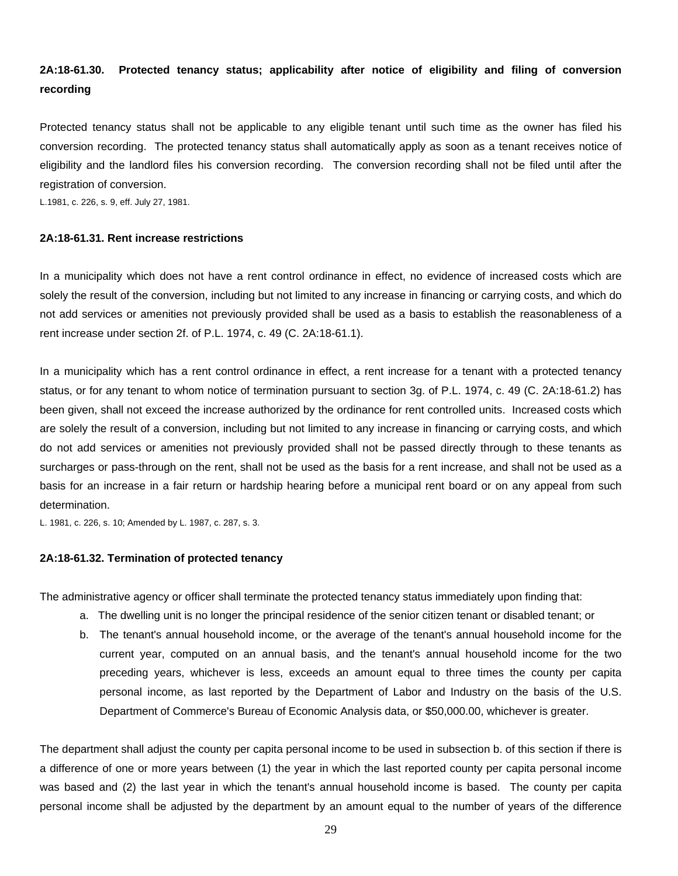# **2A:18-61.30. Protected tenancy status; applicability after notice of eligibility and filing of conversion recording**

Protected tenancy status shall not be applicable to any eligible tenant until such time as the owner has filed his conversion recording. The protected tenancy status shall automatically apply as soon as a tenant receives notice of eligibility and the landlord files his conversion recording. The conversion recording shall not be filed until after the registration of conversion.

L.1981, c. 226, s. 9, eff. July 27, 1981.

#### **2A:18-61.31. Rent increase restrictions**

In a municipality which does not have a rent control ordinance in effect, no evidence of increased costs which are solely the result of the conversion, including but not limited to any increase in financing or carrying costs, and which do not add services or amenities not previously provided shall be used as a basis to establish the reasonableness of a rent increase under section 2f. of P.L. 1974, c. 49 (C. 2A:18-61.1).

In a municipality which has a rent control ordinance in effect, a rent increase for a tenant with a protected tenancy status, or for any tenant to whom notice of termination pursuant to section 3g. of P.L. 1974, c. 49 (C. 2A:18-61.2) has been given, shall not exceed the increase authorized by the ordinance for rent controlled units. Increased costs which are solely the result of a conversion, including but not limited to any increase in financing or carrying costs, and which do not add services or amenities not previously provided shall not be passed directly through to these tenants as surcharges or pass-through on the rent, shall not be used as the basis for a rent increase, and shall not be used as a basis for an increase in a fair return or hardship hearing before a municipal rent board or on any appeal from such determination.

L. 1981, c. 226, s. 10; Amended by L. 1987, c. 287, s. 3.

### **2A:18-61.32. Termination of protected tenancy**

The administrative agency or officer shall terminate the protected tenancy status immediately upon finding that:

- a. The dwelling unit is no longer the principal residence of the senior citizen tenant or disabled tenant; or
- b. The tenant's annual household income, or the average of the tenant's annual household income for the current year, computed on an annual basis, and the tenant's annual household income for the two preceding years, whichever is less, exceeds an amount equal to three times the county per capita personal income, as last reported by the Department of Labor and Industry on the basis of the U.S. Department of Commerce's Bureau of Economic Analysis data, or \$50,000.00, whichever is greater.

The department shall adjust the county per capita personal income to be used in subsection b. of this section if there is a difference of one or more years between (1) the year in which the last reported county per capita personal income was based and (2) the last year in which the tenant's annual household income is based. The county per capita personal income shall be adjusted by the department by an amount equal to the number of years of the difference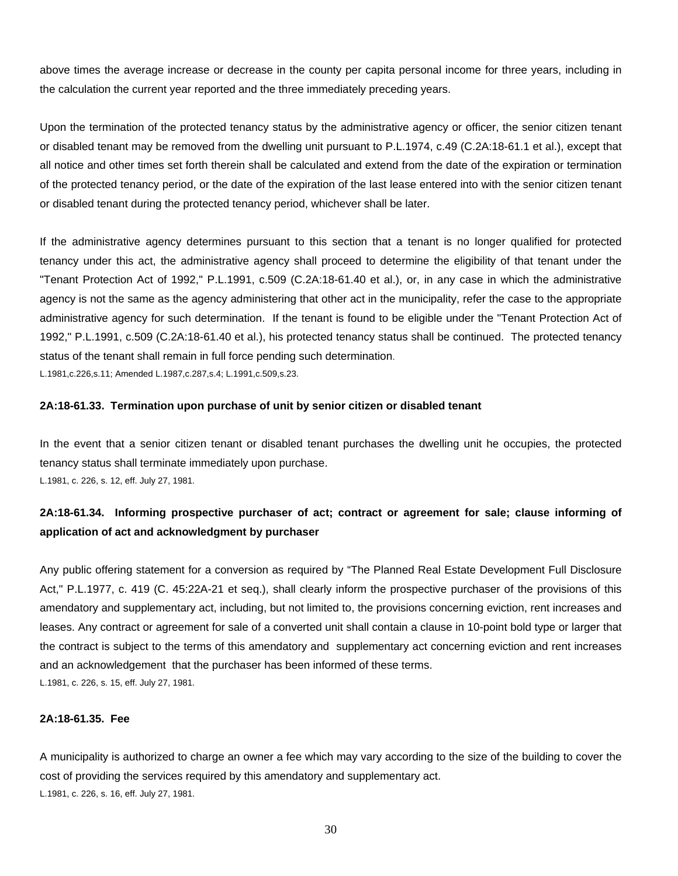above times the average increase or decrease in the county per capita personal income for three years, including in the calculation the current year reported and the three immediately preceding years.

Upon the termination of the protected tenancy status by the administrative agency or officer, the senior citizen tenant or disabled tenant may be removed from the dwelling unit pursuant to P.L.1974, c.49 (C.2A:18-61.1 et al.), except that all notice and other times set forth therein shall be calculated and extend from the date of the expiration or termination of the protected tenancy period, or the date of the expiration of the last lease entered into with the senior citizen tenant or disabled tenant during the protected tenancy period, whichever shall be later.

If the administrative agency determines pursuant to this section that a tenant is no longer qualified for protected tenancy under this act, the administrative agency shall proceed to determine the eligibility of that tenant under the "Tenant Protection Act of 1992," P.L.1991, c.509 (C.2A:18-61.40 et al.), or, in any case in which the administrative agency is not the same as the agency administering that other act in the municipality, refer the case to the appropriate administrative agency for such determination. If the tenant is found to be eligible under the "Tenant Protection Act of 1992," P.L.1991, c.509 (C.2A:18-61.40 et al.), his protected tenancy status shall be continued. The protected tenancy status of the tenant shall remain in full force pending such determination.

L.1981,c.226,s.11; Amended L.1987,c.287,s.4; L.1991,c.509,s.23.

#### **2A:18-61.33. Termination upon purchase of unit by senior citizen or disabled tenant**

In the event that a senior citizen tenant or disabled tenant purchases the dwelling unit he occupies, the protected tenancy status shall terminate immediately upon purchase. L.1981, c. 226, s. 12, eff. July 27, 1981.

# **2A:18-61.34. Informing prospective purchaser of act; contract or agreement for sale; clause informing of application of act and acknowledgment by purchaser**

Any public offering statement for a conversion as required by "The Planned Real Estate Development Full Disclosure Act," P.L.1977, c. 419 (C. 45:22A-21 et seq.), shall clearly inform the prospective purchaser of the provisions of this amendatory and supplementary act, including, but not limited to, the provisions concerning eviction, rent increases and leases. Any contract or agreement for sale of a converted unit shall contain a clause in 10-point bold type or larger that the contract is subject to the terms of this amendatory and supplementary act concerning eviction and rent increases and an acknowledgement that the purchaser has been informed of these terms. L.1981, c. 226, s. 15, eff. July 27, 1981.

# **2A:18-61.35. Fee**

A municipality is authorized to charge an owner a fee which may vary according to the size of the building to cover the cost of providing the services required by this amendatory and supplementary act. L.1981, c. 226, s. 16, eff. July 27, 1981.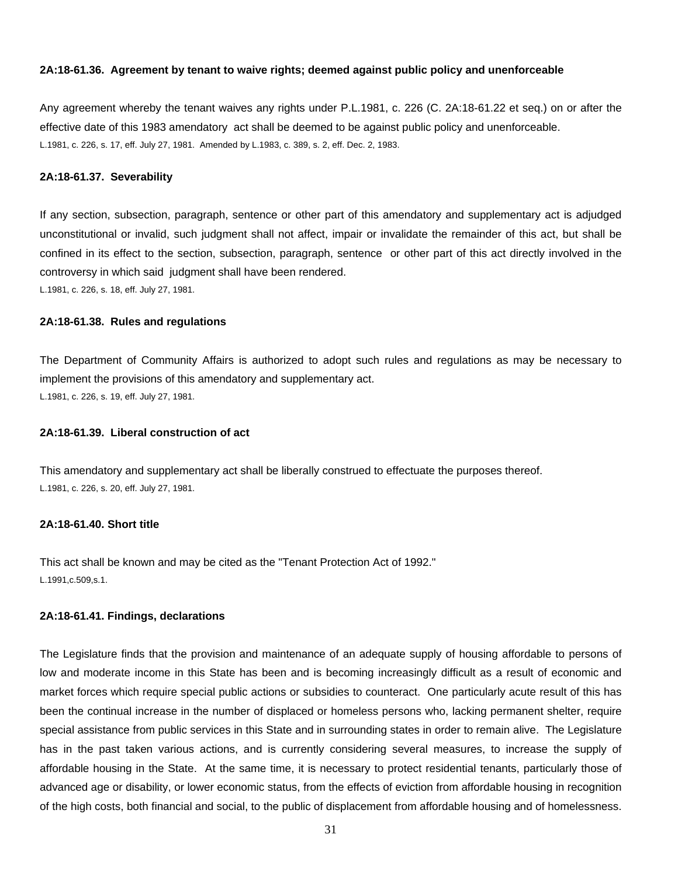### **2A:18-61.36. Agreement by tenant to waive rights; deemed against public policy and unenforceable**

Any agreement whereby the tenant waives any rights under P.L.1981, c. 226 (C. 2A:18-61.22 et seq.) on or after the effective date of this 1983 amendatory act shall be deemed to be against public policy and unenforceable. L.1981, c. 226, s. 17, eff. July 27, 1981. Amended by L.1983, c. 389, s. 2, eff. Dec. 2, 1983.

#### **2A:18-61.37. Severability**

If any section, subsection, paragraph, sentence or other part of this amendatory and supplementary act is adjudged unconstitutional or invalid, such judgment shall not affect, impair or invalidate the remainder of this act, but shall be confined in its effect to the section, subsection, paragraph, sentence or other part of this act directly involved in the controversy in which said judgment shall have been rendered.

L.1981, c. 226, s. 18, eff. July 27, 1981.

# **2A:18-61.38. Rules and regulations**

The Department of Community Affairs is authorized to adopt such rules and regulations as may be necessary to implement the provisions of this amendatory and supplementary act. L.1981, c. 226, s. 19, eff. July 27, 1981.

#### **2A:18-61.39. Liberal construction of act**

This amendatory and supplementary act shall be liberally construed to effectuate the purposes thereof. L.1981, c. 226, s. 20, eff. July 27, 1981.

# **2A:18-61.40. Short title**

This act shall be known and may be cited as the "Tenant Protection Act of 1992." L.1991,c.509,s.1.

#### **2A:18-61.41. Findings, declarations**

The Legislature finds that the provision and maintenance of an adequate supply of housing affordable to persons of low and moderate income in this State has been and is becoming increasingly difficult as a result of economic and market forces which require special public actions or subsidies to counteract. One particularly acute result of this has been the continual increase in the number of displaced or homeless persons who, lacking permanent shelter, require special assistance from public services in this State and in surrounding states in order to remain alive. The Legislature has in the past taken various actions, and is currently considering several measures, to increase the supply of affordable housing in the State. At the same time, it is necessary to protect residential tenants, particularly those of advanced age or disability, or lower economic status, from the effects of eviction from affordable housing in recognition of the high costs, both financial and social, to the public of displacement from affordable housing and of homelessness.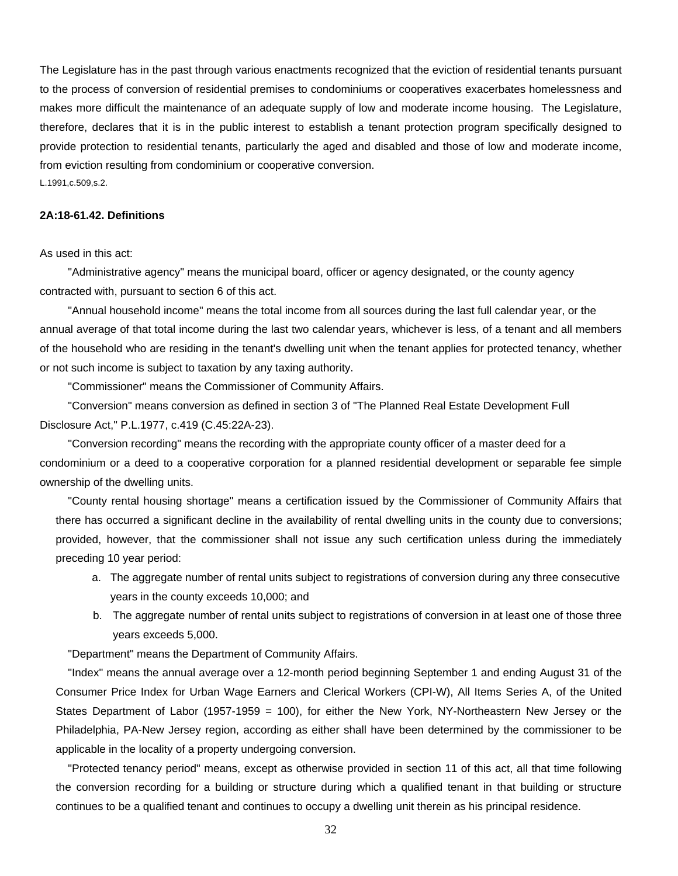The Legislature has in the past through various enactments recognized that the eviction of residential tenants pursuant to the process of conversion of residential premises to condominiums or cooperatives exacerbates homelessness and makes more difficult the maintenance of an adequate supply of low and moderate income housing. The Legislature, therefore, declares that it is in the public interest to establish a tenant protection program specifically designed to provide protection to residential tenants, particularly the aged and disabled and those of low and moderate income, from eviction resulting from condominium or cooperative conversion.

L.1991,c.509,s.2.

# **2A:18-61.42. Definitions**

As used in this act:

 "Administrative agency" means the municipal board, officer or agency designated, or the county agency contracted with, pursuant to section 6 of this act.

 "Annual household income" means the total income from all sources during the last full calendar year, or the annual average of that total income during the last two calendar years, whichever is less, of a tenant and all members of the household who are residing in the tenant's dwelling unit when the tenant applies for protected tenancy, whether or not such income is subject to taxation by any taxing authority.

"Commissioner" means the Commissioner of Community Affairs.

 "Conversion" means conversion as defined in section 3 of "The Planned Real Estate Development Full Disclosure Act," P.L.1977, c.419 (C.45:22A-23).

 "Conversion recording" means the recording with the appropriate county officer of a master deed for a condominium or a deed to a cooperative corporation for a planned residential development or separable fee simple ownership of the dwelling units.

 "County rental housing shortage" means a certification issued by the Commissioner of Community Affairs that there has occurred a significant decline in the availability of rental dwelling units in the county due to conversions; provided, however, that the commissioner shall not issue any such certification unless during the immediately preceding 10 year period:

- a. The aggregate number of rental units subject to registrations of conversion during any three consecutive years in the county exceeds 10,000; and
- b. The aggregate number of rental units subject to registrations of conversion in at least one of those three years exceeds 5,000.

"Department" means the Department of Community Affairs.

 "Index" means the annual average over a 12-month period beginning September 1 and ending August 31 of the Consumer Price Index for Urban Wage Earners and Clerical Workers (CPI-W), All Items Series A, of the United States Department of Labor (1957-1959 = 100), for either the New York, NY-Northeastern New Jersey or the Philadelphia, PA-New Jersey region, according as either shall have been determined by the commissioner to be applicable in the locality of a property undergoing conversion.

 "Protected tenancy period" means, except as otherwise provided in section 11 of this act, all that time following the conversion recording for a building or structure during which a qualified tenant in that building or structure continues to be a qualified tenant and continues to occupy a dwelling unit therein as his principal residence.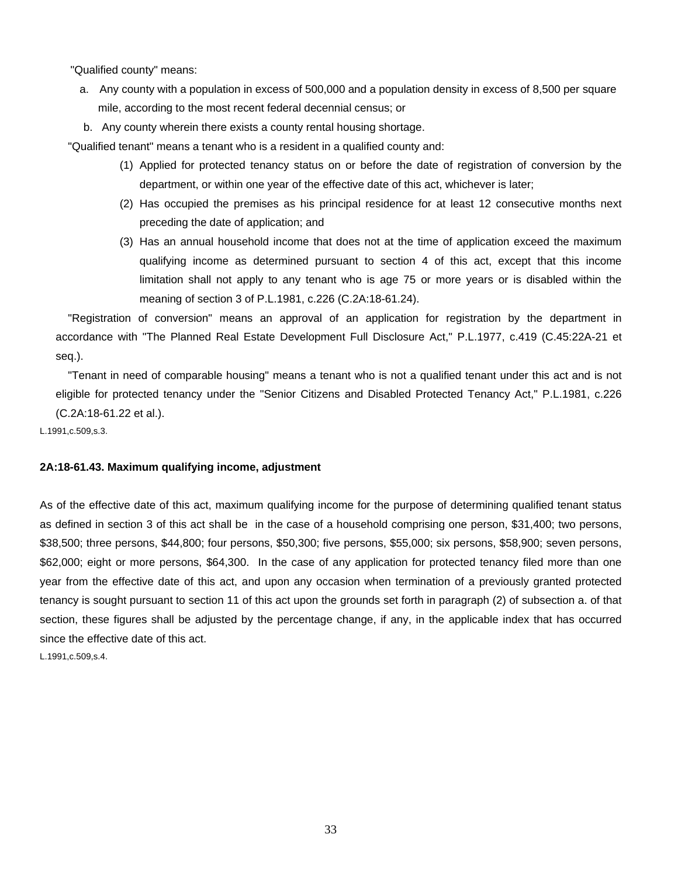"Qualified county" means:

- a. Any county with a population in excess of 500,000 and a population density in excess of 8,500 per square mile, according to the most recent federal decennial census; or
- b. Any county wherein there exists a county rental housing shortage.

"Qualified tenant" means a tenant who is a resident in a qualified county and:

- (1) Applied for protected tenancy status on or before the date of registration of conversion by the department, or within one year of the effective date of this act, whichever is later;
- (2) Has occupied the premises as his principal residence for at least 12 consecutive months next preceding the date of application; and
- (3) Has an annual household income that does not at the time of application exceed the maximum qualifying income as determined pursuant to section 4 of this act, except that this income limitation shall not apply to any tenant who is age 75 or more years or is disabled within the meaning of section 3 of P.L.1981, c.226 (C.2A:18-61.24).

 "Registration of conversion" means an approval of an application for registration by the department in accordance with "The Planned Real Estate Development Full Disclosure Act," P.L.1977, c.419 (C.45:22A-21 et seq.).

 "Tenant in need of comparable housing" means a tenant who is not a qualified tenant under this act and is not eligible for protected tenancy under the "Senior Citizens and Disabled Protected Tenancy Act," P.L.1981, c.226 (C.2A:18-61.22 et al.).

L.1991,c.509,s.3.

#### **2A:18-61.43. Maximum qualifying income, adjustment**

As of the effective date of this act, maximum qualifying income for the purpose of determining qualified tenant status as defined in section 3 of this act shall be in the case of a household comprising one person, \$31,400; two persons, \$38,500; three persons, \$44,800; four persons, \$50,300; five persons, \$55,000; six persons, \$58,900; seven persons, \$62,000; eight or more persons, \$64,300. In the case of any application for protected tenancy filed more than one year from the effective date of this act, and upon any occasion when termination of a previously granted protected tenancy is sought pursuant to section 11 of this act upon the grounds set forth in paragraph (2) of subsection a. of that section, these figures shall be adjusted by the percentage change, if any, in the applicable index that has occurred since the effective date of this act.

L.1991,c.509,s.4.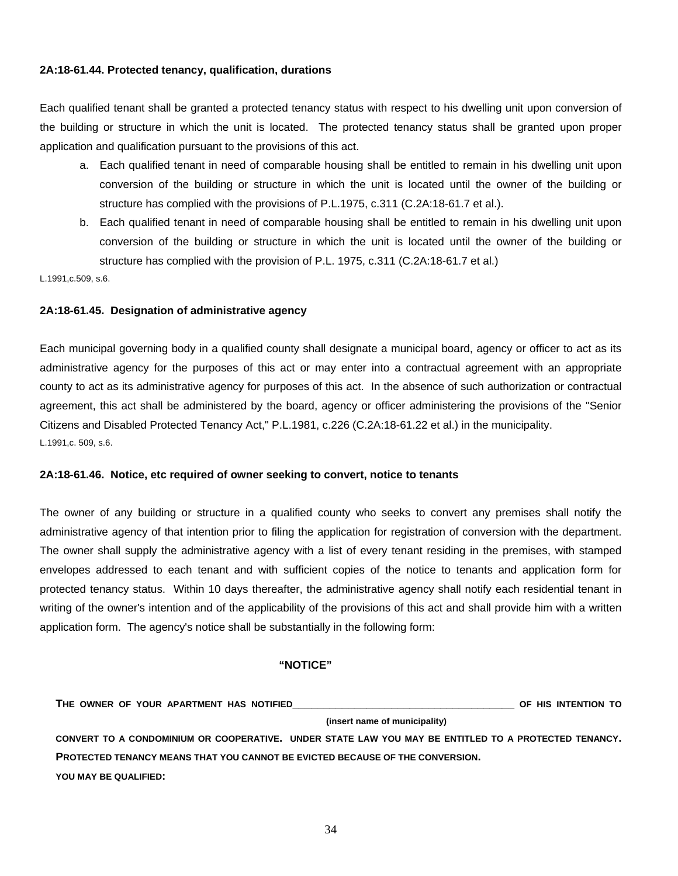# **2A:18-61.44. Protected tenancy, qualification, durations**

Each qualified tenant shall be granted a protected tenancy status with respect to his dwelling unit upon conversion of the building or structure in which the unit is located. The protected tenancy status shall be granted upon proper application and qualification pursuant to the provisions of this act.

- a. Each qualified tenant in need of comparable housing shall be entitled to remain in his dwelling unit upon conversion of the building or structure in which the unit is located until the owner of the building or structure has complied with the provisions of P.L.1975, c.311 (C.2A:18-61.7 et al.).
- b. Each qualified tenant in need of comparable housing shall be entitled to remain in his dwelling unit upon conversion of the building or structure in which the unit is located until the owner of the building or structure has complied with the provision of P.L. 1975, c.311 (C.2A:18-61.7 et al.)

L.1991,c.509, s.6.

# **2A:18-61.45. Designation of administrative agency**

Each municipal governing body in a qualified county shall designate a municipal board, agency or officer to act as its administrative agency for the purposes of this act or may enter into a contractual agreement with an appropriate county to act as its administrative agency for purposes of this act. In the absence of such authorization or contractual agreement, this act shall be administered by the board, agency or officer administering the provisions of the "Senior Citizens and Disabled Protected Tenancy Act," P.L.1981, c.226 (C.2A:18-61.22 et al.) in the municipality. L.1991,c. 509, s.6.

# **2A:18-61.46. Notice, etc required of owner seeking to convert, notice to tenants**

The owner of any building or structure in a qualified county who seeks to convert any premises shall notify the administrative agency of that intention prior to filing the application for registration of conversion with the department. The owner shall supply the administrative agency with a list of every tenant residing in the premises, with stamped envelopes addressed to each tenant and with sufficient copies of the notice to tenants and application form for protected tenancy status. Within 10 days thereafter, the administrative agency shall notify each residential tenant in writing of the owner's intention and of the applicability of the provisions of this act and shall provide him with a written application form. The agency's notice shall be substantially in the following form:

# **"NOTICE"**

**THE OWNER OF YOUR APARTMENT HAS NOTIFIED\_\_\_\_\_\_\_\_\_\_\_\_\_\_\_\_\_\_\_\_\_\_\_\_\_\_\_\_\_\_\_\_\_\_\_\_ OF HIS INTENTION TO (insert name of municipality) CONVERT TO A CONDOMINIUM OR COOPERATIVE. UNDER STATE LAW YOU MAY BE ENTITLED TO A PROTECTED TENANCY. PROTECTED TENANCY MEANS THAT YOU CANNOT BE EVICTED BECAUSE OF THE CONVERSION. YOU MAY BE QUALIFIED:**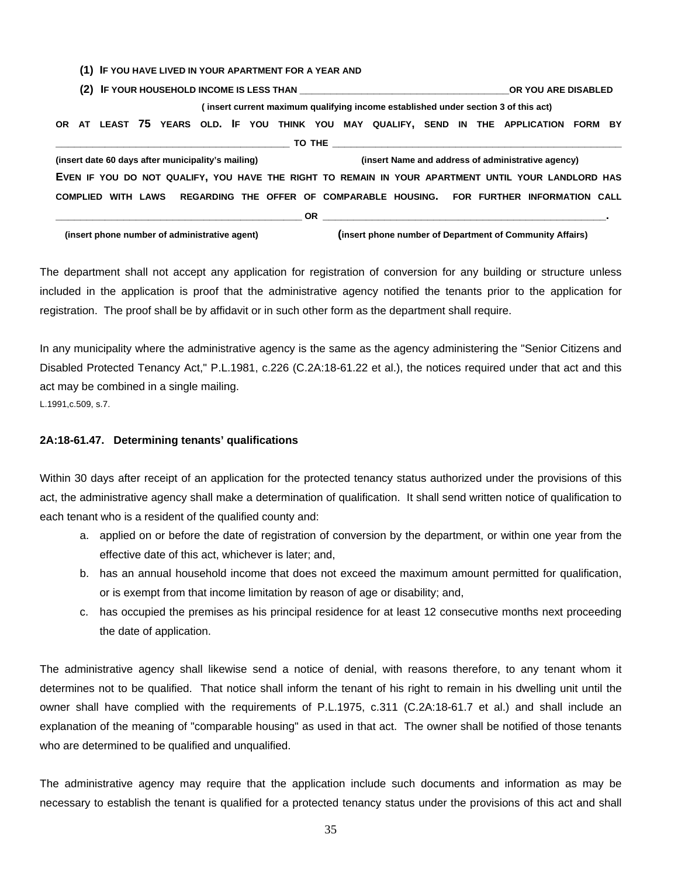|                                               |  |  |  | (1) IF YOU HAVE LIVED IN YOUR APARTMENT FOR A YEAR AND                                             |  |  |  |                                                                                    |                                                          |  |  |  |  |  |  |  |                                                    |  |  |  |
|-----------------------------------------------|--|--|--|----------------------------------------------------------------------------------------------------|--|--|--|------------------------------------------------------------------------------------|----------------------------------------------------------|--|--|--|--|--|--|--|----------------------------------------------------|--|--|--|
|                                               |  |  |  |                                                                                                    |  |  |  |                                                                                    |                                                          |  |  |  |  |  |  |  |                                                    |  |  |  |
|                                               |  |  |  |                                                                                                    |  |  |  | (insert current maximum qualifying income established under section 3 of this act) |                                                          |  |  |  |  |  |  |  |                                                    |  |  |  |
|                                               |  |  |  | OR AT LEAST 75 YEARS OLD. IF YOU THINK YOU MAY QUALIFY, SEND IN THE APPLICATION FORM BY            |  |  |  |                                                                                    |                                                          |  |  |  |  |  |  |  |                                                    |  |  |  |
|                                               |  |  |  |                                                                                                    |  |  |  |                                                                                    |                                                          |  |  |  |  |  |  |  |                                                    |  |  |  |
|                                               |  |  |  | (insert date 60 days after municipality's mailing)                                                 |  |  |  |                                                                                    |                                                          |  |  |  |  |  |  |  | (insert Name and address of administrative agency) |  |  |  |
|                                               |  |  |  | EVEN IF YOU DO NOT QUALIFY, YOU HAVE THE RIGHT TO REMAIN IN YOUR APARTMENT UNTIL YOUR LANDLORD HAS |  |  |  |                                                                                    |                                                          |  |  |  |  |  |  |  |                                                    |  |  |  |
|                                               |  |  |  | COMPLIED WITH LAWS REGARDING THE OFFER OF COMPARABLE HOUSING. FOR FURTHER INFORMATION CALL         |  |  |  |                                                                                    |                                                          |  |  |  |  |  |  |  |                                                    |  |  |  |
|                                               |  |  |  |                                                                                                    |  |  |  |                                                                                    |                                                          |  |  |  |  |  |  |  |                                                    |  |  |  |
| (insert phone number of administrative agent) |  |  |  |                                                                                                    |  |  |  |                                                                                    | (insert phone number of Department of Community Affairs) |  |  |  |  |  |  |  |                                                    |  |  |  |

The department shall not accept any application for registration of conversion for any building or structure unless included in the application is proof that the administrative agency notified the tenants prior to the application for registration. The proof shall be by affidavit or in such other form as the department shall require.

In any municipality where the administrative agency is the same as the agency administering the "Senior Citizens and Disabled Protected Tenancy Act," P.L.1981, c.226 (C.2A:18-61.22 et al.), the notices required under that act and this act may be combined in a single mailing. L.1991,c.509, s.7.

# **2A:18-61.47. Determining tenants' qualifications**

Within 30 days after receipt of an application for the protected tenancy status authorized under the provisions of this act, the administrative agency shall make a determination of qualification. It shall send written notice of qualification to each tenant who is a resident of the qualified county and:

- a. applied on or before the date of registration of conversion by the department, or within one year from the effective date of this act, whichever is later; and,
- b. has an annual household income that does not exceed the maximum amount permitted for qualification, or is exempt from that income limitation by reason of age or disability; and,
- c. has occupied the premises as his principal residence for at least 12 consecutive months next proceeding the date of application.

The administrative agency shall likewise send a notice of denial, with reasons therefore, to any tenant whom it determines not to be qualified. That notice shall inform the tenant of his right to remain in his dwelling unit until the owner shall have complied with the requirements of P.L.1975, c.311 (C.2A:18-61.7 et al.) and shall include an explanation of the meaning of "comparable housing" as used in that act. The owner shall be notified of those tenants who are determined to be qualified and unqualified.

The administrative agency may require that the application include such documents and information as may be necessary to establish the tenant is qualified for a protected tenancy status under the provisions of this act and shall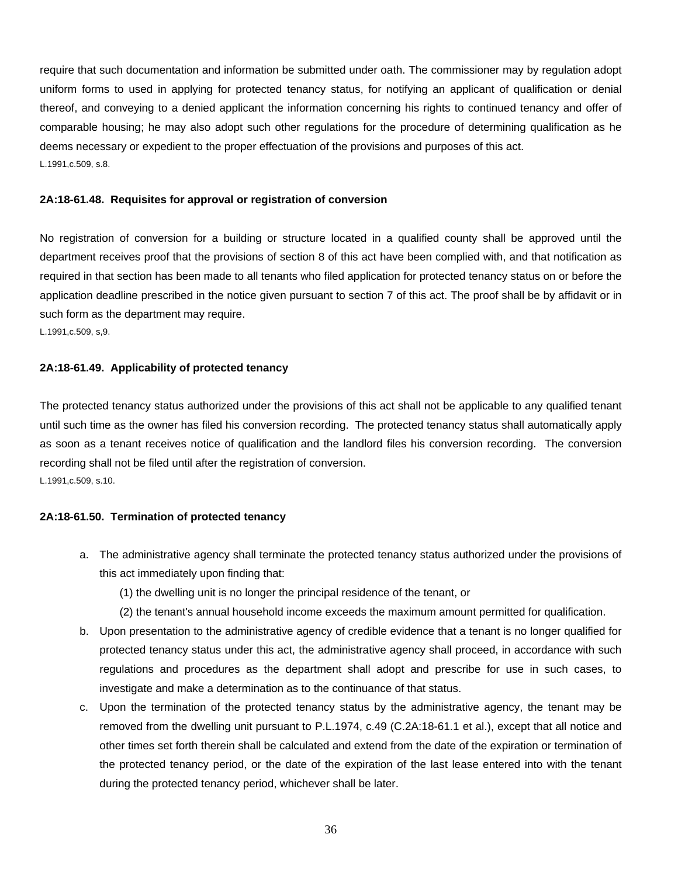require that such documentation and information be submitted under oath. The commissioner may by regulation adopt uniform forms to used in applying for protected tenancy status, for notifying an applicant of qualification or denial thereof, and conveying to a denied applicant the information concerning his rights to continued tenancy and offer of comparable housing; he may also adopt such other regulations for the procedure of determining qualification as he deems necessary or expedient to the proper effectuation of the provisions and purposes of this act. L.1991,c.509, s.8.

# **2A:18-61.48. Requisites for approval or registration of conversion**

No registration of conversion for a building or structure located in a qualified county shall be approved until the department receives proof that the provisions of section 8 of this act have been complied with, and that notification as required in that section has been made to all tenants who filed application for protected tenancy status on or before the application deadline prescribed in the notice given pursuant to section 7 of this act. The proof shall be by affidavit or in such form as the department may require.

L.1991,c.509, s,9.

#### **2A:18-61.49. Applicability of protected tenancy**

The protected tenancy status authorized under the provisions of this act shall not be applicable to any qualified tenant until such time as the owner has filed his conversion recording. The protected tenancy status shall automatically apply as soon as a tenant receives notice of qualification and the landlord files his conversion recording. The conversion recording shall not be filed until after the registration of conversion. L.1991,c.509, s.10.

# **2A:18-61.50. Termination of protected tenancy**

- a. The administrative agency shall terminate the protected tenancy status authorized under the provisions of this act immediately upon finding that:
	- (1) the dwelling unit is no longer the principal residence of the tenant, or
	- (2) the tenant's annual household income exceeds the maximum amount permitted for qualification.
- b. Upon presentation to the administrative agency of credible evidence that a tenant is no longer qualified for protected tenancy status under this act, the administrative agency shall proceed, in accordance with such regulations and procedures as the department shall adopt and prescribe for use in such cases, to investigate and make a determination as to the continuance of that status.
- c. Upon the termination of the protected tenancy status by the administrative agency, the tenant may be removed from the dwelling unit pursuant to P.L.1974, c.49 (C.2A:18-61.1 et al.), except that all notice and other times set forth therein shall be calculated and extend from the date of the expiration or termination of the protected tenancy period, or the date of the expiration of the last lease entered into with the tenant during the protected tenancy period, whichever shall be later.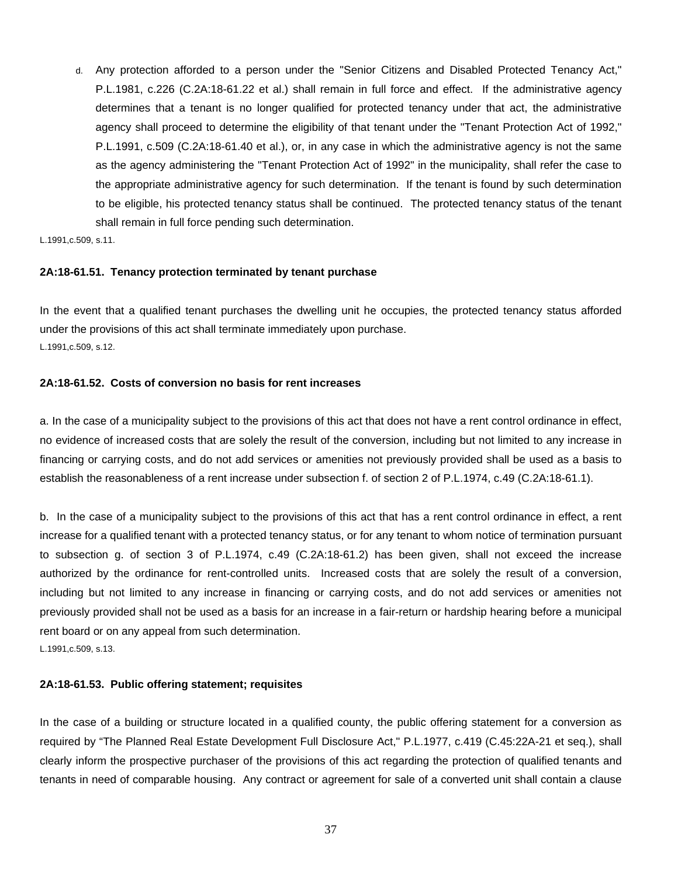d. Any protection afforded to a person under the "Senior Citizens and Disabled Protected Tenancy Act," P.L.1981, c.226 (C.2A:18-61.22 et al.) shall remain in full force and effect. If the administrative agency determines that a tenant is no longer qualified for protected tenancy under that act, the administrative agency shall proceed to determine the eligibility of that tenant under the "Tenant Protection Act of 1992," P.L.1991, c.509 (C.2A:18-61.40 et al.), or, in any case in which the administrative agency is not the same as the agency administering the "Tenant Protection Act of 1992" in the municipality, shall refer the case to the appropriate administrative agency for such determination. If the tenant is found by such determination to be eligible, his protected tenancy status shall be continued. The protected tenancy status of the tenant shall remain in full force pending such determination.

L.1991,c.509, s.11.

#### **2A:18-61.51. Tenancy protection terminated by tenant purchase**

In the event that a qualified tenant purchases the dwelling unit he occupies, the protected tenancy status afforded under the provisions of this act shall terminate immediately upon purchase. L.1991,c.509, s.12.

#### **2A:18-61.52. Costs of conversion no basis for rent increases**

a. In the case of a municipality subject to the provisions of this act that does not have a rent control ordinance in effect, no evidence of increased costs that are solely the result of the conversion, including but not limited to any increase in financing or carrying costs, and do not add services or amenities not previously provided shall be used as a basis to establish the reasonableness of a rent increase under subsection f. of section 2 of P.L.1974, c.49 (C.2A:18-61.1).

b. In the case of a municipality subject to the provisions of this act that has a rent control ordinance in effect, a rent increase for a qualified tenant with a protected tenancy status, or for any tenant to whom notice of termination pursuant to subsection g. of section 3 of P.L.1974, c.49 (C.2A:18-61.2) has been given, shall not exceed the increase authorized by the ordinance for rent-controlled units. Increased costs that are solely the result of a conversion, including but not limited to any increase in financing or carrying costs, and do not add services or amenities not previously provided shall not be used as a basis for an increase in a fair-return or hardship hearing before a municipal rent board or on any appeal from such determination.

L.1991,c.509, s.13.

### **2A:18-61.53. Public offering statement; requisites**

In the case of a building or structure located in a qualified county, the public offering statement for a conversion as required by "The Planned Real Estate Development Full Disclosure Act," P.L.1977, c.419 (C.45:22A-21 et seq.), shall clearly inform the prospective purchaser of the provisions of this act regarding the protection of qualified tenants and tenants in need of comparable housing. Any contract or agreement for sale of a converted unit shall contain a clause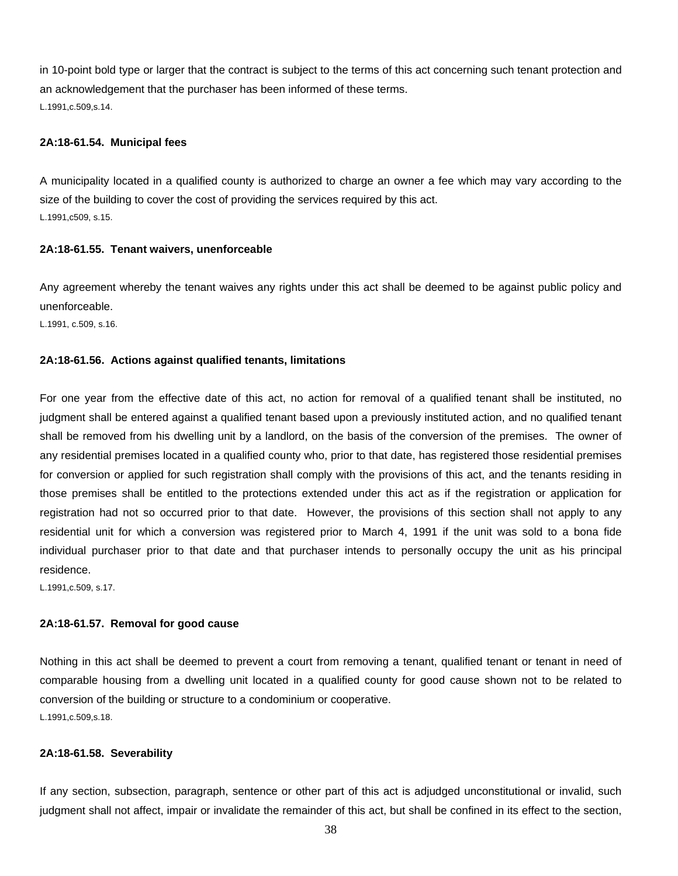in 10-point bold type or larger that the contract is subject to the terms of this act concerning such tenant protection and an acknowledgement that the purchaser has been informed of these terms. L.1991,c.509,s.14.

### **2A:18-61.54. Municipal fees**

A municipality located in a qualified county is authorized to charge an owner a fee which may vary according to the size of the building to cover the cost of providing the services required by this act. L.1991,c509, s.15.

### **2A:18-61.55. Tenant waivers, unenforceable**

Any agreement whereby the tenant waives any rights under this act shall be deemed to be against public policy and unenforceable.

L.1991, c.509, s.16.

# **2A:18-61.56. Actions against qualified tenants, limitations**

For one year from the effective date of this act, no action for removal of a qualified tenant shall be instituted, no judgment shall be entered against a qualified tenant based upon a previously instituted action, and no qualified tenant shall be removed from his dwelling unit by a landlord, on the basis of the conversion of the premises. The owner of any residential premises located in a qualified county who, prior to that date, has registered those residential premises for conversion or applied for such registration shall comply with the provisions of this act, and the tenants residing in those premises shall be entitled to the protections extended under this act as if the registration or application for registration had not so occurred prior to that date. However, the provisions of this section shall not apply to any residential unit for which a conversion was registered prior to March 4, 1991 if the unit was sold to a bona fide individual purchaser prior to that date and that purchaser intends to personally occupy the unit as his principal residence.

L.1991,c.509, s.17.

#### **2A:18-61.57. Removal for good cause**

Nothing in this act shall be deemed to prevent a court from removing a tenant, qualified tenant or tenant in need of comparable housing from a dwelling unit located in a qualified county for good cause shown not to be related to conversion of the building or structure to a condominium or cooperative. L.1991,c.509,s.18.

#### **2A:18-61.58. Severability**

If any section, subsection, paragraph, sentence or other part of this act is adjudged unconstitutional or invalid, such judgment shall not affect, impair or invalidate the remainder of this act, but shall be confined in its effect to the section,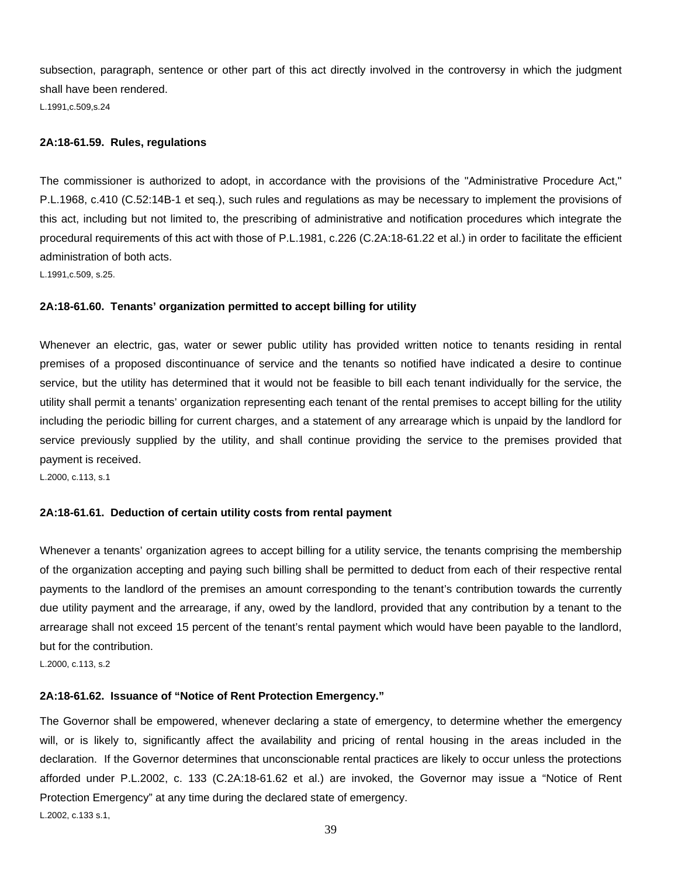subsection, paragraph, sentence or other part of this act directly involved in the controversy in which the judgment shall have been rendered.

L.1991,c.509,s.24

# **2A:18-61.59. Rules, regulations**

The commissioner is authorized to adopt, in accordance with the provisions of the "Administrative Procedure Act," P.L.1968, c.410 (C.52:14B-1 et seq.), such rules and regulations as may be necessary to implement the provisions of this act, including but not limited to, the prescribing of administrative and notification procedures which integrate the procedural requirements of this act with those of P.L.1981, c.226 (C.2A:18-61.22 et al.) in order to facilitate the efficient administration of both acts.

L.1991,c.509, s.25.

# **2A:18-61.60. Tenants' organization permitted to accept billing for utility**

Whenever an electric, gas, water or sewer public utility has provided written notice to tenants residing in rental premises of a proposed discontinuance of service and the tenants so notified have indicated a desire to continue service, but the utility has determined that it would not be feasible to bill each tenant individually for the service, the utility shall permit a tenants' organization representing each tenant of the rental premises to accept billing for the utility including the periodic billing for current charges, and a statement of any arrearage which is unpaid by the landlord for service previously supplied by the utility, and shall continue providing the service to the premises provided that payment is received.

L.2000, c.113, s.1

# **2A:18-61.61. Deduction of certain utility costs from rental payment**

Whenever a tenants' organization agrees to accept billing for a utility service, the tenants comprising the membership of the organization accepting and paying such billing shall be permitted to deduct from each of their respective rental payments to the landlord of the premises an amount corresponding to the tenant's contribution towards the currently due utility payment and the arrearage, if any, owed by the landlord, provided that any contribution by a tenant to the arrearage shall not exceed 15 percent of the tenant's rental payment which would have been payable to the landlord, but for the contribution.

L.2000, c.113, s.2

# **2A:18-61.62. Issuance of "Notice of Rent Protection Emergency."**

The Governor shall be empowered, whenever declaring a state of emergency, to determine whether the emergency will, or is likely to, significantly affect the availability and pricing of rental housing in the areas included in the declaration. If the Governor determines that unconscionable rental practices are likely to occur unless the protections afforded under P.L.2002, c. 133 (C.2A:18-61.62 et al.) are invoked, the Governor may issue a "Notice of Rent Protection Emergency" at any time during the declared state of emergency. L.2002, c.133 s.1,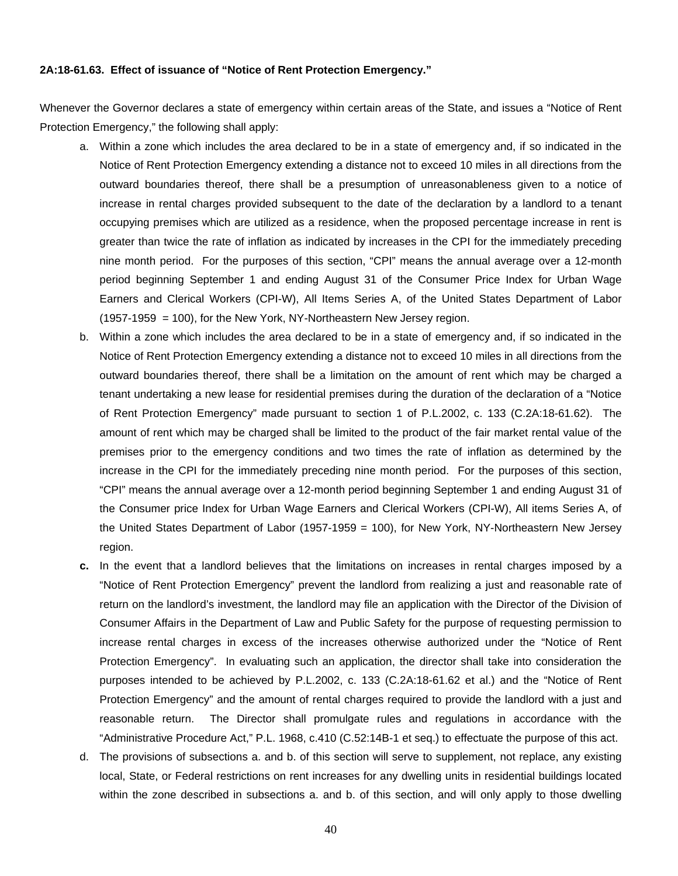#### **2A:18-61.63. Effect of issuance of "Notice of Rent Protection Emergency."**

Whenever the Governor declares a state of emergency within certain areas of the State, and issues a "Notice of Rent Protection Emergency," the following shall apply:

- a. Within a zone which includes the area declared to be in a state of emergency and, if so indicated in the Notice of Rent Protection Emergency extending a distance not to exceed 10 miles in all directions from the outward boundaries thereof, there shall be a presumption of unreasonableness given to a notice of increase in rental charges provided subsequent to the date of the declaration by a landlord to a tenant occupying premises which are utilized as a residence, when the proposed percentage increase in rent is greater than twice the rate of inflation as indicated by increases in the CPI for the immediately preceding nine month period. For the purposes of this section, "CPI" means the annual average over a 12-month period beginning September 1 and ending August 31 of the Consumer Price Index for Urban Wage Earners and Clerical Workers (CPI-W), All Items Series A, of the United States Department of Labor (1957-1959 = 100), for the New York, NY-Northeastern New Jersey region.
- b. Within a zone which includes the area declared to be in a state of emergency and, if so indicated in the Notice of Rent Protection Emergency extending a distance not to exceed 10 miles in all directions from the outward boundaries thereof, there shall be a limitation on the amount of rent which may be charged a tenant undertaking a new lease for residential premises during the duration of the declaration of a "Notice of Rent Protection Emergency" made pursuant to section 1 of P.L.2002, c. 133 (C.2A:18-61.62). The amount of rent which may be charged shall be limited to the product of the fair market rental value of the premises prior to the emergency conditions and two times the rate of inflation as determined by the increase in the CPI for the immediately preceding nine month period. For the purposes of this section, "CPI" means the annual average over a 12-month period beginning September 1 and ending August 31 of the Consumer price Index for Urban Wage Earners and Clerical Workers (CPI-W), All items Series A, of the United States Department of Labor (1957-1959 = 100), for New York, NY-Northeastern New Jersey region.
- **c.** In the event that a landlord believes that the limitations on increases in rental charges imposed by a "Notice of Rent Protection Emergency" prevent the landlord from realizing a just and reasonable rate of return on the landlord's investment, the landlord may file an application with the Director of the Division of Consumer Affairs in the Department of Law and Public Safety for the purpose of requesting permission to increase rental charges in excess of the increases otherwise authorized under the "Notice of Rent Protection Emergency". In evaluating such an application, the director shall take into consideration the purposes intended to be achieved by P.L.2002, c. 133 (C.2A:18-61.62 et al.) and the "Notice of Rent Protection Emergency" and the amount of rental charges required to provide the landlord with a just and reasonable return. The Director shall promulgate rules and regulations in accordance with the "Administrative Procedure Act," P.L. 1968, c.410 (C.52:14B-1 et seq.) to effectuate the purpose of this act.
- d. The provisions of subsections a. and b. of this section will serve to supplement, not replace, any existing local, State, or Federal restrictions on rent increases for any dwelling units in residential buildings located within the zone described in subsections a. and b. of this section, and will only apply to those dwelling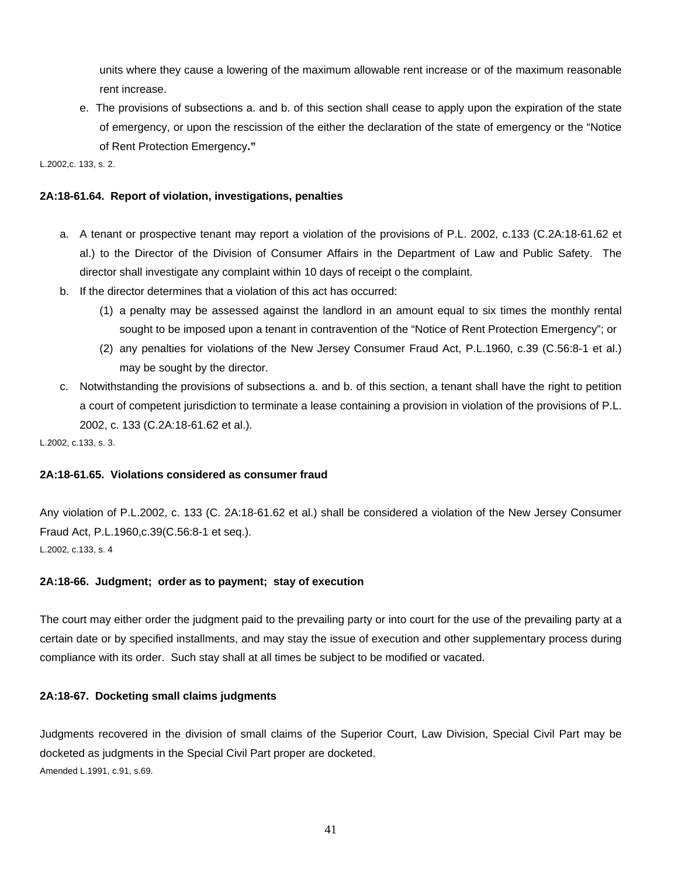units where they cause a lowering of the maximum allowable rent increase or of the maximum reasonable rent increase.

e. The provisions of subsections a. and b. of this section shall cease to apply upon the expiration of the state of emergency, or upon the rescission of the either the declaration of the state of emergency or the "Notice of Rent Protection Emergency**."**

L.2002,c. 133, s. 2.

# **2A:18-61.64. Report of violation, investigations, penalties**

- a. A tenant or prospective tenant may report a violation of the provisions of P.L. 2002, c.133 (C.2A:18-61.62 et al.) to the Director of the Division of Consumer Affairs in the Department of Law and Public Safety. The director shall investigate any complaint within 10 days of receipt o the complaint.
- b. If the director determines that a violation of this act has occurred:
	- (1) a penalty may be assessed against the landlord in an amount equal to six times the monthly rental sought to be imposed upon a tenant in contravention of the "Notice of Rent Protection Emergency"; or
	- (2) any penalties for violations of the New Jersey Consumer Fraud Act, P.L.1960, c.39 (C.56:8-1 et al.) may be sought by the director.
- c. Notwithstanding the provisions of subsections a. and b. of this section, a tenant shall have the right to petition a court of competent jurisdiction to terminate a lease containing a provision in violation of the provisions of P.L. 2002, c. 133 (C.2A:18-61.62 et al.).

L.2002, c.133, s. 3.

# **2A:18-61.65. Violations considered as consumer fraud**

Any violation of P.L.2002, c. 133 (C. 2A:18-61.62 et al.) shall be considered a violation of the New Jersey Consumer Fraud Act, P.L.1960,c.39(C.56:8-1 et seq.). L.2002, c.133, s. 4

# **2A:18-66. Judgment; order as to payment; stay of execution**

The court may either order the judgment paid to the prevailing party or into court for the use of the prevailing party at a certain date or by specified installments, and may stay the issue of execution and other supplementary process during compliance with its order. Such stay shall at all times be subject to be modified or vacated.

# **2A:18-67. Docketing small claims judgments**

Judgments recovered in the division of small claims of the Superior Court, Law Division, Special Civil Part may be docketed as judgments in the Special Civil Part proper are docketed. Amended L.1991, c.91, s.69.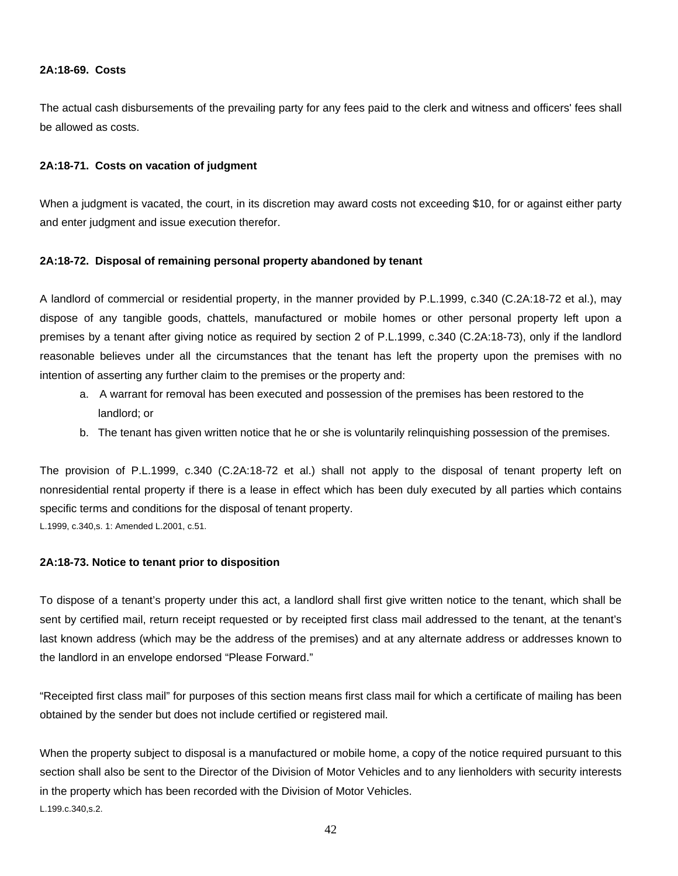#### **2A:18-69. Costs**

The actual cash disbursements of the prevailing party for any fees paid to the clerk and witness and officers' fees shall be allowed as costs.

# **2A:18-71. Costs on vacation of judgment**

When a judgment is vacated, the court, in its discretion may award costs not exceeding \$10, for or against either party and enter judgment and issue execution therefor.

#### **2A:18-72. Disposal of remaining personal property abandoned by tenant**

A landlord of commercial or residential property, in the manner provided by P.L.1999, c.340 (C.2A:18-72 et al.), may dispose of any tangible goods, chattels, manufactured or mobile homes or other personal property left upon a premises by a tenant after giving notice as required by section 2 of P.L.1999, c.340 (C.2A:18-73), only if the landlord reasonable believes under all the circumstances that the tenant has left the property upon the premises with no intention of asserting any further claim to the premises or the property and:

- a. A warrant for removal has been executed and possession of the premises has been restored to the landlord; or
- b. The tenant has given written notice that he or she is voluntarily relinquishing possession of the premises.

The provision of P.L.1999, c.340 (C.2A:18-72 et al.) shall not apply to the disposal of tenant property left on nonresidential rental property if there is a lease in effect which has been duly executed by all parties which contains specific terms and conditions for the disposal of tenant property.

L.1999, c.340,s. 1: Amended L.2001, c.51.

# **2A:18-73. Notice to tenant prior to disposition**

To dispose of a tenant's property under this act, a landlord shall first give written notice to the tenant, which shall be sent by certified mail, return receipt requested or by receipted first class mail addressed to the tenant, at the tenant's last known address (which may be the address of the premises) and at any alternate address or addresses known to the landlord in an envelope endorsed "Please Forward."

"Receipted first class mail" for purposes of this section means first class mail for which a certificate of mailing has been obtained by the sender but does not include certified or registered mail.

When the property subject to disposal is a manufactured or mobile home, a copy of the notice required pursuant to this section shall also be sent to the Director of the Division of Motor Vehicles and to any lienholders with security interests in the property which has been recorded with the Division of Motor Vehicles. L.199.c.340,s.2.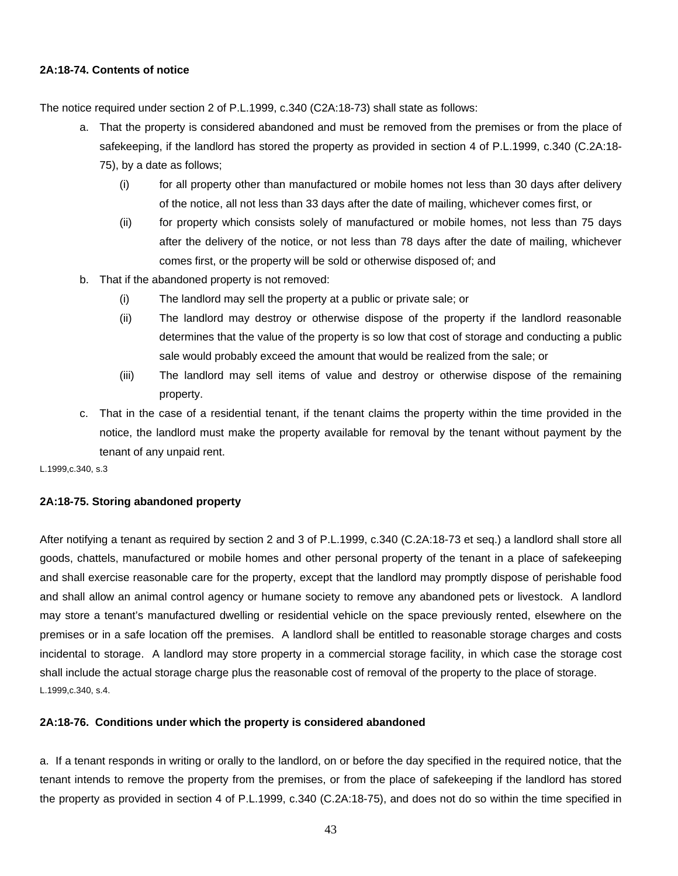# **2A:18-74. Contents of notice**

The notice required under section 2 of P.L.1999, c.340 (C2A:18-73) shall state as follows:

- a. That the property is considered abandoned and must be removed from the premises or from the place of safekeeping, if the landlord has stored the property as provided in section 4 of P.L.1999, c.340 (C.2A:18-75), by a date as follows;
	- (i) for all property other than manufactured or mobile homes not less than 30 days after delivery of the notice, all not less than 33 days after the date of mailing, whichever comes first, or
	- (ii) for property which consists solely of manufactured or mobile homes, not less than 75 days after the delivery of the notice, or not less than 78 days after the date of mailing, whichever comes first, or the property will be sold or otherwise disposed of; and
- b. That if the abandoned property is not removed:
	- (i) The landlord may sell the property at a public or private sale; or
	- (ii) The landlord may destroy or otherwise dispose of the property if the landlord reasonable determines that the value of the property is so low that cost of storage and conducting a public sale would probably exceed the amount that would be realized from the sale; or
	- (iii) The landlord may sell items of value and destroy or otherwise dispose of the remaining property.
- c. That in the case of a residential tenant, if the tenant claims the property within the time provided in the notice, the landlord must make the property available for removal by the tenant without payment by the tenant of any unpaid rent.

L.1999,c.340, s.3

# **2A:18-75. Storing abandoned property**

After notifying a tenant as required by section 2 and 3 of P.L.1999, c.340 (C.2A:18-73 et seq.) a landlord shall store all goods, chattels, manufactured or mobile homes and other personal property of the tenant in a place of safekeeping and shall exercise reasonable care for the property, except that the landlord may promptly dispose of perishable food and shall allow an animal control agency or humane society to remove any abandoned pets or livestock. A landlord may store a tenant's manufactured dwelling or residential vehicle on the space previously rented, elsewhere on the premises or in a safe location off the premises. A landlord shall be entitled to reasonable storage charges and costs incidental to storage. A landlord may store property in a commercial storage facility, in which case the storage cost shall include the actual storage charge plus the reasonable cost of removal of the property to the place of storage. L.1999,c.340, s.4.

# **2A:18-76. Conditions under which the property is considered abandoned**

a. If a tenant responds in writing or orally to the landlord, on or before the day specified in the required notice, that the tenant intends to remove the property from the premises, or from the place of safekeeping if the landlord has stored the property as provided in section 4 of P.L.1999, c.340 (C.2A:18-75), and does not do so within the time specified in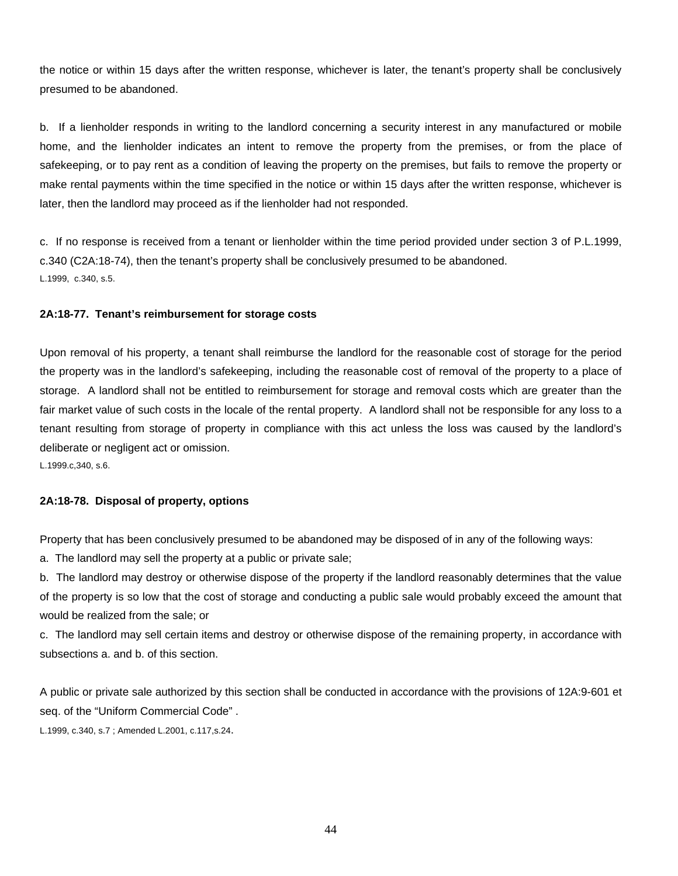the notice or within 15 days after the written response, whichever is later, the tenant's property shall be conclusively presumed to be abandoned.

b. If a lienholder responds in writing to the landlord concerning a security interest in any manufactured or mobile home, and the lienholder indicates an intent to remove the property from the premises, or from the place of safekeeping, or to pay rent as a condition of leaving the property on the premises, but fails to remove the property or make rental payments within the time specified in the notice or within 15 days after the written response, whichever is later, then the landlord may proceed as if the lienholder had not responded.

c. If no response is received from a tenant or lienholder within the time period provided under section 3 of P.L.1999, c.340 (C2A:18-74), then the tenant's property shall be conclusively presumed to be abandoned. L.1999, c.340, s.5.

#### **2A:18-77. Tenant's reimbursement for storage costs**

Upon removal of his property, a tenant shall reimburse the landlord for the reasonable cost of storage for the period the property was in the landlord's safekeeping, including the reasonable cost of removal of the property to a place of storage. A landlord shall not be entitled to reimbursement for storage and removal costs which are greater than the fair market value of such costs in the locale of the rental property. A landlord shall not be responsible for any loss to a tenant resulting from storage of property in compliance with this act unless the loss was caused by the landlord's deliberate or negligent act or omission.

L.1999.c,340, s.6.

# **2A:18-78. Disposal of property, options**

Property that has been conclusively presumed to be abandoned may be disposed of in any of the following ways:

a. The landlord may sell the property at a public or private sale;

b. The landlord may destroy or otherwise dispose of the property if the landlord reasonably determines that the value of the property is so low that the cost of storage and conducting a public sale would probably exceed the amount that would be realized from the sale; or

c. The landlord may sell certain items and destroy or otherwise dispose of the remaining property, in accordance with subsections a. and b. of this section.

A public or private sale authorized by this section shall be conducted in accordance with the provisions of 12A:9-601 et seq. of the "Uniform Commercial Code" .

L.1999, c.340, s.7 ; Amended L.2001, c.117,s.24.